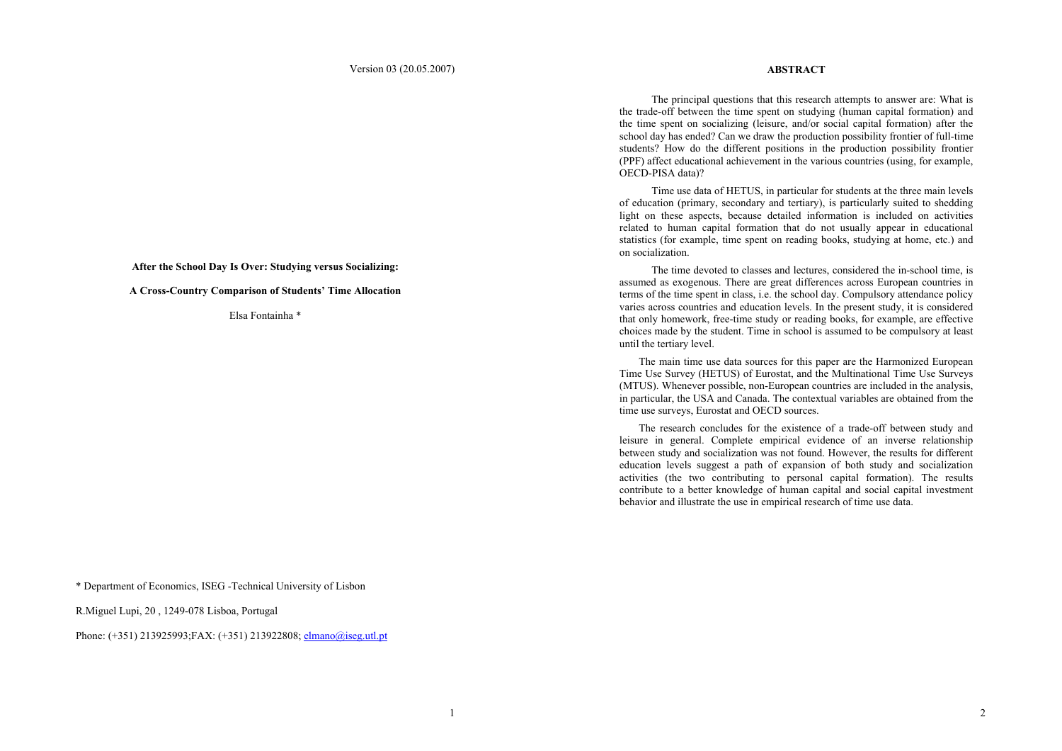### Version 03 (20.05.2007)

### **ABSTRACT**

The principal questions that this research attempts to answer are: What is the trade-off between the time spent on studying (human capital formation) and the time spent on socializing (leisure, and/or social capital formation) after the school day has ended? Can we draw the production possibility frontier of full-time students? How do the different positions in the production possibility frontier (PPF) affect educational achievement in the various countries (using, for example, OECD-PISA data)?

Time use data of HETUS, in particular for students at the three main levels of education (primary, secondary and tertiary), is particularly suited to shedding light on these aspects, because detailed information is included on activities related to human capital formation that do not usually appear in educational statistics (for example, time spent on reading books, studying at home, etc.) and on socialization.

The time devoted to classes and lectures, considered the in-school time, is assumed as exogenous. There are great differences across European countries in terms of the time spent in class, i.e. the school day. Compulsory attendance policy varies across countries and education levels. In the present study, it is considered that only homework, free-time study or reading books, for example, are effective choices made by the student. Time in school is assumed to be compulsory at least until the tertiary level.

 The main time use data sources for this paper are the Harmonized European Time Use Survey (HETUS) of Eurostat, and the Multinational Time Use Surveys (MTUS). Whenever possible, non-European countries are included in the analysis, in particular, the USA and Canada. The contextual variables are obtained from the time use surveys, Eurostat and OECD sources.

 The research concludes for the existence of a trade-off between study and leisure in general. Complete empirical evidence of an inverse relationship between study and socialization was not found. However, the results for different education levels suggest a path of expansion of both study and socialization activities (the two contributing to personal capital formation). The results contribute to a better knowledge of human capital and social capital investment behavior and illustrate the use in empirical research of time use data.

**After the School Day Is Over: Studying versus Socializing:** 

**A Cross-Country Comparison of Students' Time Allocation** 

Elsa Fontainha \*

\* Department of Economics, ISEG -Technical University of Lisbon

R.Miguel Lupi, 20 , 1249-078 Lisboa, Portugal

Phone: (+351) 213925993;FAX: (+351) 213922808; elmano@iseg.utl.pt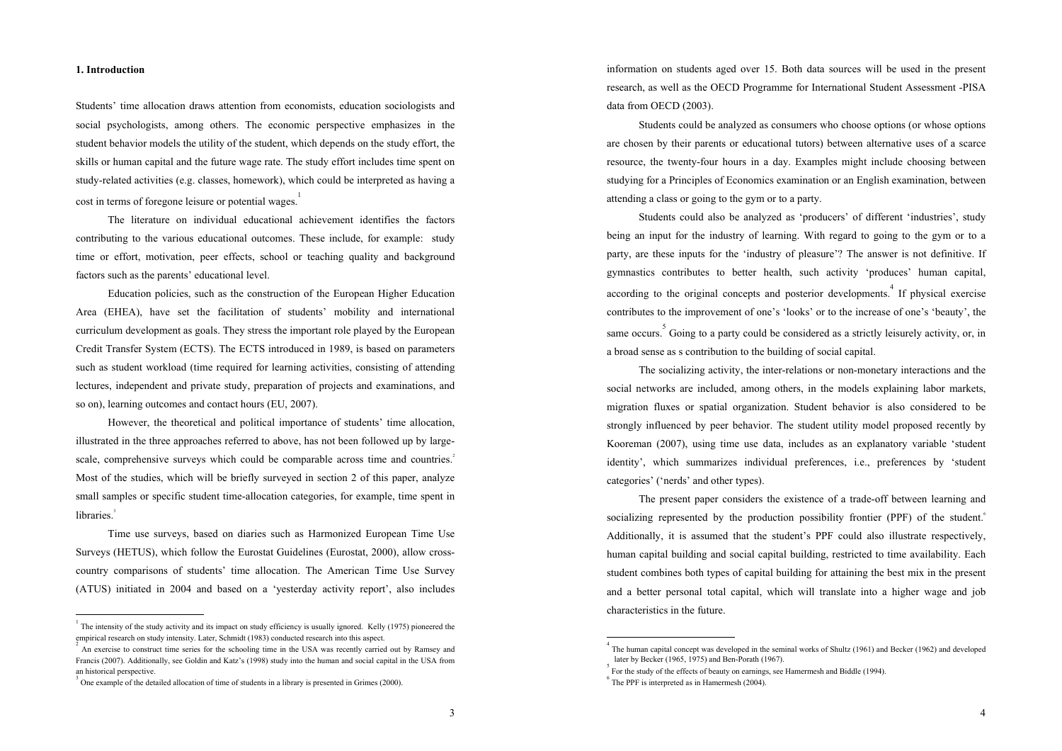### **1. Introduction**

Students' time allocation draws attention from economists, education sociologists and social psychologists, among others. The economic perspective emphasizes in the student behavior models the utility of the student, which depends on the study effort, the skills or human capital and the future wage rate. The study effort includes time spent on study-related activities (e.g. classes, homework), which could be interpreted as having a cost in terms of foregone leisure or potential wages.

The literature on individual educational achievement identifies the factors contributing to the various educational outcomes. These include, for example: study time or effort, motivation, peer effects, school or teaching quality and background factors such as the parents' educational level.

Education policies, such as the construction of the European Higher Education Area (EHEA), have set the facilitation of students' mobility and international curriculum development as goals. They stress the important role played by the European Credit Transfer System (ECTS). The ECTS introduced in 1989, is based on parameters such as student workload (time required for learning activities, consisting of attending lectures, independent and private study, preparation of projects and examinations, and so on), learning outcomes and contact hours (EU, 2007).

However, the theoretical and political importance of students' time allocation, illustrated in the three approaches referred to above, has not been followed up by largescale, comprehensive surveys which could be comparable across time and countries.<sup>2</sup> Most of the studies, which will be briefly surveyed in section 2 of this paper, analyze small samples or specific student time-allocation categories, for example, time spent in libraries.

Time use surveys, based on diaries such as Harmonized European Time Use Surveys (HETUS), which follow the Eurostat Guidelines (Eurostat, 2000), allow crosscountry comparisons of students' time allocation. The American Time Use Survey (ATUS) initiated in 2004 and based on a 'yesterday activity report', also includes

 The intensity of the study activity and its impact on study efficiency is usually ignored. Kelly (1975) pioneered the empirical research on study intensity. Later, Schmidt (1983) conducted research into this aspect.

information on students aged over 15. Both data sources will be used in the present research, as well as the OECD Programme for International Student Assessment -PISA data from OECD (2003).

Students could be analyzed as consumers who choose options (or whose options are chosen by their parents or educational tutors) between alternative uses of a scarce resource, the twenty-four hours in a day. Examples might include choosing between studying for a Principles of Economics examination or an English examination, between attending a class or going to the gym or to a party.

Students could also be analyzed as 'producers' of different 'industries', study being an input for the industry of learning. With regard to going to the gym or to a party, are these inputs for the 'industry of pleasure'? The answer is not definitive. If gymnastics contributes to better health, such activity 'produces' human capital, according to the original concepts and posterior developments.<sup>4</sup> If physical exercise contributes to the improvement of one's 'looks' or to the increase of one's 'beauty', the same occurs. Going to a party could be considered as a strictly leisurely activity, or, in a broad sense as s contribution to the building of social capital.

The socializing activity, the inter-relations or non-monetary interactions and the social networks are included, among others, in the models explaining labor markets, migration fluxes or spatial organization. Student behavior is also considered to be strongly influenced by peer behavior. The student utility model proposed recently by Kooreman (2007), using time use data, includes as an explanatory variable 'student identity', which summarizes individual preferences, i.e., preferences by 'student categories' ('nerds' and other types).

The present paper considers the existence of a trade-off between learning and socializing represented by the production possibility frontier (PPF) of the student.<sup>6</sup> Additionally, it is assumed that the student's PPF could also illustrate respectively, human capital building and social capital building, restricted to time availability. Each student combines both types of capital building for attaining the best mix in the present and a better personal total capital, which will translate into a higher wage and job characteristics in the future.

An exercise to construct time series for the schooling time in the USA was recently carried out by Ramsey and Francis (2007). Additionally, see Goldin and Katz's (1998) study into the human and social capital in the USA from an historical perspective.

 $3$  One example of the detailed allocation of time of students in a library is presented in Grimes (2000).

The human capital concept was developed in the seminal works of Shultz (1961) and Becker (1962) and developed later by Becker (1965, 1975) and Ben-Porath (1967).

For the study of the effects of beauty on earnings, see Hamermesh and Biddle (1994).

 $6$  The PPF is interpreted as in Hamermesh (2004).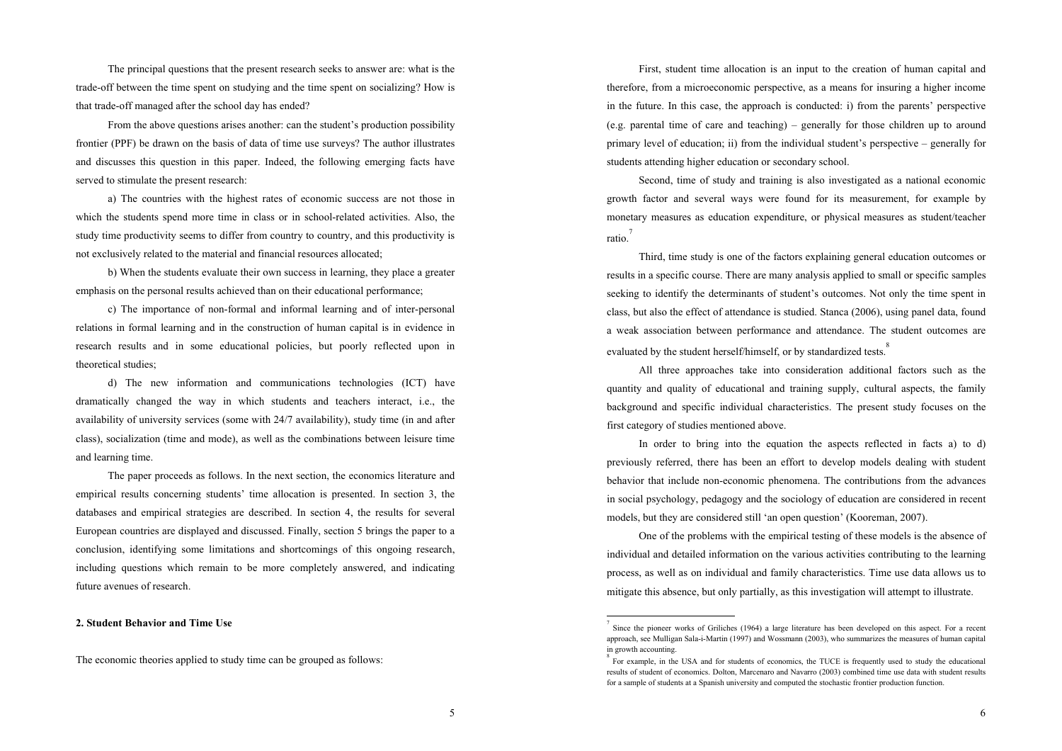The principal questions that the present research seeks to answer are: what is the trade-off between the time spent on studying and the time spent on socializing? How is that trade-off managed after the school day has ended?

From the above questions arises another: can the student's production possibility frontier (PPF) be drawn on the basis of data of time use surveys? The author illustrates and discusses this question in this paper. Indeed, the following emerging facts have served to stimulate the present research:

a) The countries with the highest rates of economic success are not those in which the students spend more time in class or in school-related activities. Also, the study time productivity seems to differ from country to country, and this productivity is not exclusively related to the material and financial resources allocated;

b) When the students evaluate their own success in learning, they place a greater emphasis on the personal results achieved than on their educational performance;

c) The importance of non-formal and informal learning and of inter-personal relations in formal learning and in the construction of human capital is in evidence in research results and in some educational policies, but poorly reflected upon in theoretical studies;

d) The new information and communications technologies (ICT) have dramatically changed the way in which students and teachers interact, i.e., the availability of university services (some with 24/7 availability), study time (in and after class), socialization (time and mode), as well as the combinations between leisure time and learning time.

The paper proceeds as follows. In the next section, the economics literature and empirical results concerning students' time allocation is presented. In section 3, the databases and empirical strategies are described. In section 4, the results for several European countries are displayed and discussed. Finally, section 5 brings the paper to a conclusion, identifying some limitations and shortcomings of this ongoing research, including questions which remain to be more completely answered, and indicating future avenues of research.

**2. Student Behavior and Time Use** 

The economic theories applied to study time can be grouped as follows:

First, student time allocation is an input to the creation of human capital and therefore, from a microeconomic perspective, as a means for insuring a higher income in the future. In this case, the approach is conducted: i) from the parents' perspective (e.g. parental time of care and teaching) – generally for those children up to around primary level of education; ii) from the individual student's perspective – generally for students attending higher education or secondary school.

Second, time of study and training is also investigated as a national economic growth factor and several ways were found for its measurement, for example by monetary measures as education expenditure, or physical measures as student/teacher ratio.<sup>7</sup>

Third, time study is one of the factors explaining general education outcomes or results in a specific course. There are many analysis applied to small or specific samples seeking to identify the determinants of student's outcomes. Not only the time spent in class, but also the effect of attendance is studied. Stanca (2006), using panel data, found a weak association between performance and attendance. The student outcomes are evaluated by the student herself/himself, or by standardized tests.<sup>8</sup>

All three approaches take into consideration additional factors such as the quantity and quality of educational and training supply, cultural aspects, the family background and specific individual characteristics. The present study focuses on the first category of studies mentioned above.

In order to bring into the equation the aspects reflected in facts a) to d) previously referred, there has been an effort to develop models dealing with student behavior that include non-economic phenomena. The contributions from the advances in social psychology, pedagogy and the sociology of education are considered in recent models, but they are considered still 'an open question' (Kooreman, 2007).

One of the problems with the empirical testing of these models is the absence of individual and detailed information on the various activities contributing to the learning process, as well as on individual and family characteristics. Time use data allows us to mitigate this absence, but only partially, as this investigation will attempt to illustrate.

Since the pioneer works of Griliches (1964) a large literature has been developed on this aspect. For a recent approach, see Mulligan Sala-i-Martin (1997) and Wossmann (2003), who summarizes the measures of human capital in growth accounting.

For example, in the USA and for students of economics, the TUCE is frequently used to study the educational results of student of economics. Dolton, Marcenaro and Navarro (2003) combined time use data with student results for a sample of students at a Spanish university and computed the stochastic frontier production function.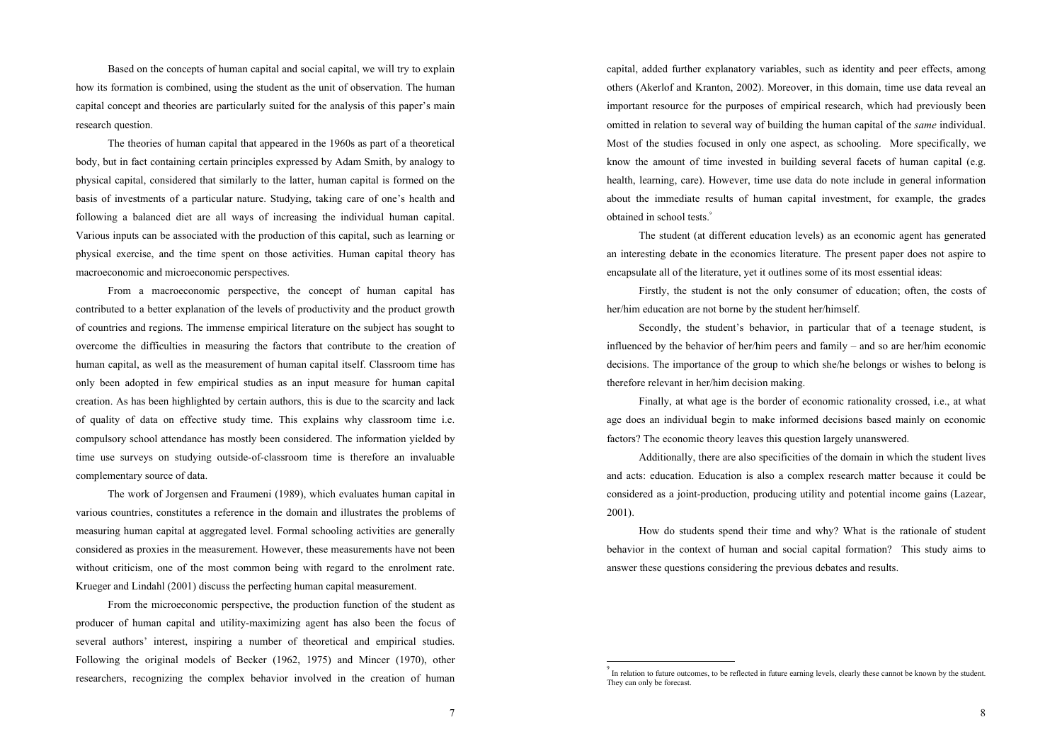Based on the concepts of human capital and social capital, we will try to explain how its formation is combined, using the student as the unit of observation. The human capital concept and theories are particularly suited for the analysis of this paper's main research question.

The theories of human capital that appeared in the 1960s as part of a theoretical body, but in fact containing certain principles expressed by Adam Smith, by analogy to physical capital, considered that similarly to the latter, human capital is formed on the basis of investments of a particular nature. Studying, taking care of one's health and following a balanced diet are all ways of increasing the individual human capital. Various inputs can be associated with the production of this capital, such as learning or physical exercise, and the time spent on those activities. Human capital theory has macroeconomic and microeconomic perspectives.

From a macroeconomic perspective, the concept of human capital has contributed to a better explanation of the levels of productivity and the product growth of countries and regions. The immense empirical literature on the subject has sought to overcome the difficulties in measuring the factors that contribute to the creation of human capital, as well as the measurement of human capital itself. Classroom time has only been adopted in few empirical studies as an input measure for human capital creation. As has been highlighted by certain authors, this is due to the scarcity and lack of quality of data on effective study time. This explains why classroom time i.e. compulsory school attendance has mostly been considered. The information yielded by time use surveys on studying outside-of-classroom time is therefore an invaluable complementary source of data.

The work of Jorgensen and Fraumeni (1989), which evaluates human capital in various countries, constitutes a reference in the domain and illustrates the problems of measuring human capital at aggregated level. Formal schooling activities are generally considered as proxies in the measurement. However, these measurements have not been without criticism, one of the most common being with regard to the enrolment rate. Krueger and Lindahl (2001) discuss the perfecting human capital measurement.

From the microeconomic perspective, the production function of the student as producer of human capital and utility-maximizing agent has also been the focus of several authors' interest, inspiring a number of theoretical and empirical studies. Following the original models of Becker (1962, 1975) and Mincer (1970), other researchers, recognizing the complex behavior involved in the creation of human

capital, added further explanatory variables, such as identity and peer effects, among others (Akerlof and Kranton, 2002). Moreover, in this domain, time use data reveal an important resource for the purposes of empirical research, which had previously been omitted in relation to several way of building the human capital of the *same* individual. Most of the studies focused in only one aspect, as schooling. More specifically, we know the amount of time invested in building several facets of human capital (e.g. health, learning, care). However, time use data do note include in general information about the immediate results of human capital investment, for example, the grades obtained in school tests.<sup>9</sup>

The student (at different education levels) as an economic agent has generated an interesting debate in the economics literature. The present paper does not aspire to encapsulate all of the literature, yet it outlines some of its most essential ideas:

Firstly, the student is not the only consumer of education; often, the costs of her/him education are not borne by the student her/himself.

Secondly, the student's behavior, in particular that of a teenage student, is influenced by the behavior of her/him peers and family – and so are her/him economic decisions. The importance of the group to which she/he belongs or wishes to belong is therefore relevant in her/him decision making.

Finally, at what age is the border of economic rationality crossed, i.e., at what age does an individual begin to make informed decisions based mainly on economic factors? The economic theory leaves this question largely unanswered.

Additionally, there are also specificities of the domain in which the student lives and acts: education. Education is also a complex research matter because it could be considered as a joint-production, producing utility and potential income gains (Lazear, 2001).

How do students spend their time and why? What is the rationale of student behavior in the context of human and social capital formation? This study aims to answer these questions considering the previous debates and results.

<sup>&</sup>lt;sup>9</sup> In relation to future outcomes, to be reflected in future earning levels, clearly these cannot be known by the student. They can only be forecast.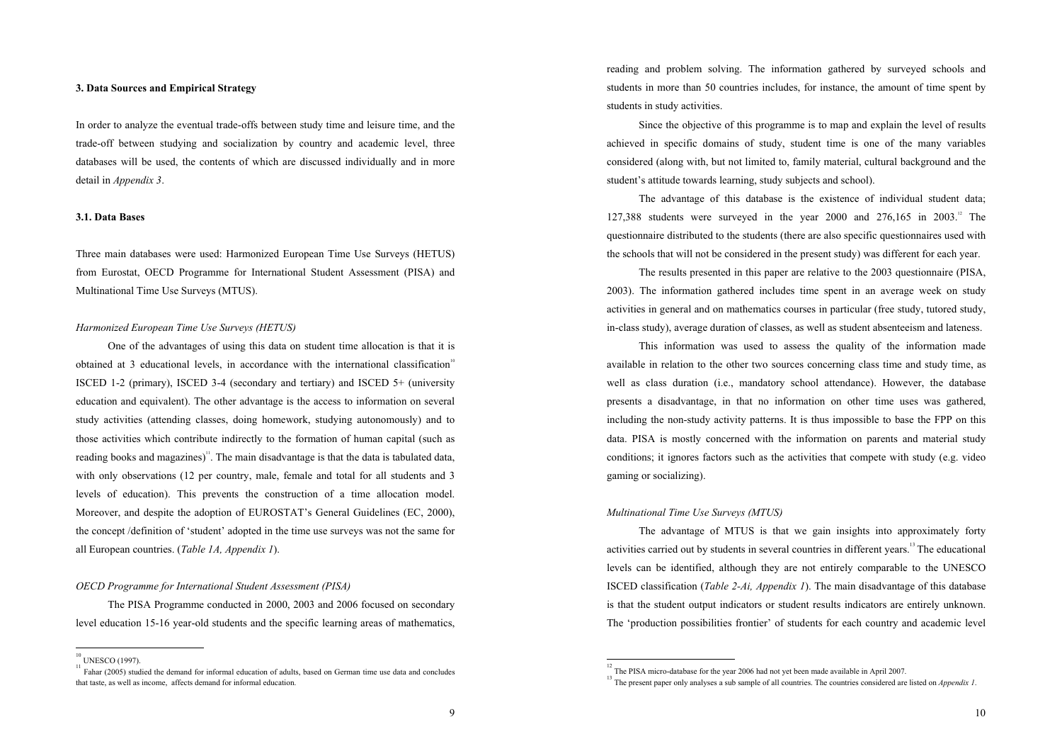### **3. Data Sources and Empirical Strategy**

In order to analyze the eventual trade-offs between study time and leisure time, and the trade-off between studying and socialization by country and academic level, three databases will be used, the contents of which are discussed individually and in more detail in *Appendix 3*.

### **3.1. Data Bases**

Three main databases were used: Harmonized European Time Use Surveys (HETUS) from Eurostat, OECD Programme for International Student Assessment (PISA) and Multinational Time Use Surveys (MTUS).

#### *Harmonized European Time Use Surveys (HETUS)*

One of the advantages of using this data on student time allocation is that it is obtained at 3 educational levels, in accordance with the international classification<sup>10</sup> ISCED 1-2 (primary), ISCED 3-4 (secondary and tertiary) and ISCED 5+ (university education and equivalent). The other advantage is the access to information on several study activities (attending classes, doing homework, studying autonomously) and to those activities which contribute indirectly to the formation of human capital (such as reading books and magazines)<sup>11</sup>. The main disadvantage is that the data is tabulated data, with only observations (12 per country, male, female and total for all students and 3 levels of education). This prevents the construction of a time allocation model. Moreover, and despite the adoption of EUROSTAT's General Guidelines (EC, 2000), the concept /definition of 'student' adopted in the time use surveys was not the same for all European countries. (*Table 1A, Appendix 1*).

### *OECD Programme for International Student Assessment (PISA)*

The PISA Programme conducted in 2000, 2003 and 2006 focused on secondary level education 15-16 year-old students and the specific learning areas of mathematics,

reading and problem solving. The information gathered by surveyed schools and students in more than 50 countries includes, for instance, the amount of time spent by students in study activities.

Since the objective of this programme is to map and explain the level of results achieved in specific domains of study, student time is one of the many variables considered (along with, but not limited to, family material, cultural background and the student's attitude towards learning, study subjects and school).

The advantage of this database is the existence of individual student data; 127,388 students were surveyed in the year 2000 and  $276,165$  in  $2003$ .<sup>12</sup> The questionnaire distributed to the students (there are also specific questionnaires used with the schools that will not be considered in the present study) was different for each year.

The results presented in this paper are relative to the 2003 questionnaire (PISA, 2003). The information gathered includes time spent in an average week on study activities in general and on mathematics courses in particular (free study, tutored study, in-class study), average duration of classes, as well as student absenteeism and lateness.

This information was used to assess the quality of the information made available in relation to the other two sources concerning class time and study time, as well as class duration (i.e., mandatory school attendance). However, the database presents a disadvantage, in that no information on other time uses was gathered, including the non-study activity patterns. It is thus impossible to base the FPP on this data. PISA is mostly concerned with the information on parents and material study conditions; it ignores factors such as the activities that compete with study (e.g. video gaming or socializing).

### *Multinational Time Use Surveys (MTUS)*

The advantage of MTUS is that we gain insights into approximately forty activities carried out by students in several countries in different years.<sup>13</sup> The educational levels can be identified, although they are not entirely comparable to the UNESCO ISCED classification (*Table 2-Ai, Appendix 1*). The main disadvantage of this database is that the student output indicators or student results indicators are entirely unknown. The 'production possibilities frontier' of students for each country and academic level

UNESCO (1997).

<sup>&</sup>lt;sup>11</sup> Fahar (2005) studied the demand for informal education of adults, based on German time use data and concludes that taste, as well as income, affects demand for informal education.

 $12$ <sup>12</sup> The PISA micro-database for the year 2006 had not yet been made available in April 2007.

<sup>&</sup>lt;sup>13</sup> The present paper only analyses a sub sample of all countries. The countries considered are listed on *Appendix 1*.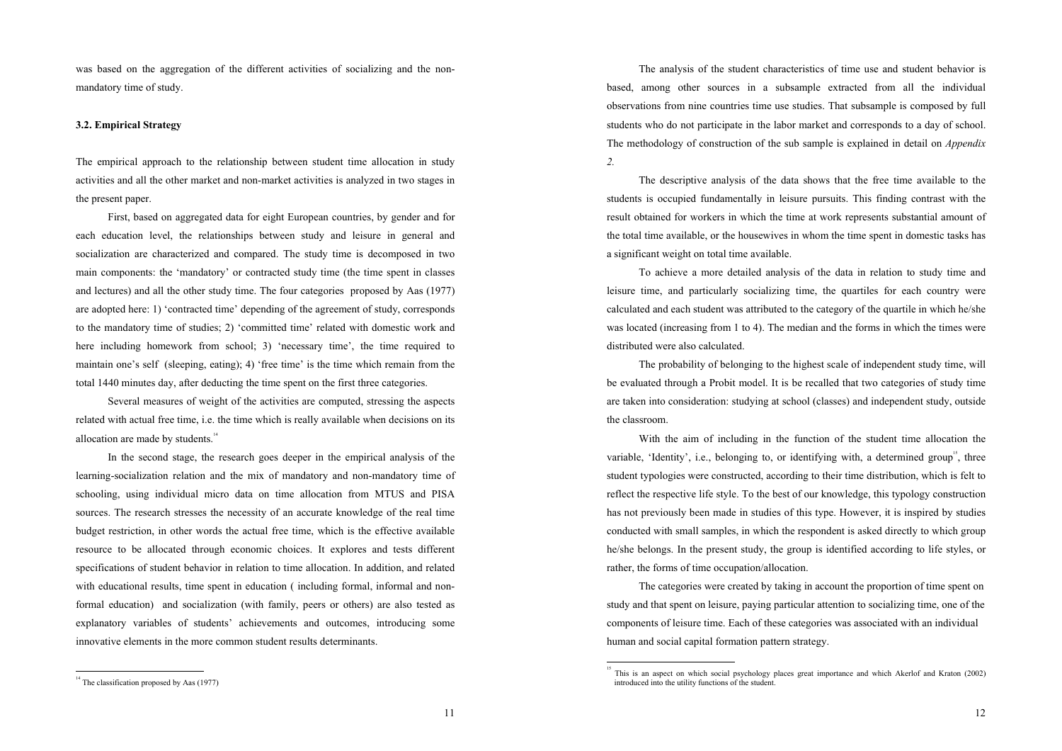was based on the aggregation of the different activities of socializing and the nonmandatory time of study.

#### **3.2. Empirical Strategy**

The empirical approach to the relationship between student time allocation in study activities and all the other market and non-market activities is analyzed in two stages in the present paper.

First, based on aggregated data for eight European countries, by gender and for each education level, the relationships between study and leisure in general and socialization are characterized and compared. The study time is decomposed in two main components: the 'mandatory' or contracted study time (the time spent in classes and lectures) and all the other study time. The four categories proposed by Aas (1977) are adopted here: 1) 'contracted time' depending of the agreement of study, corresponds to the mandatory time of studies; 2) 'committed time' related with domestic work and here including homework from school; 3) 'necessary time', the time required to maintain one's self (sleeping, eating); 4) 'free time' is the time which remain from the total 1440 minutes day, after deducting the time spent on the first three categories.

Several measures of weight of the activities are computed, stressing the aspects related with actual free time, i.e. the time which is really available when decisions on its allocation are made by students.<sup>14</sup>

In the second stage, the research goes deeper in the empirical analysis of the learning-socialization relation and the mix of mandatory and non-mandatory time of schooling, using individual micro data on time allocation from MTUS and PISA sources. The research stresses the necessity of an accurate knowledge of the real time budget restriction, in other words the actual free time, which is the effective available resource to be allocated through economic choices. It explores and tests different specifications of student behavior in relation to time allocation. In addition, and related with educational results, time spent in education (including formal, informal and nonformal education) and socialization (with family, peers or others) are also tested as explanatory variables of students' achievements and outcomes, introducing some innovative elements in the more common student results determinants.

The analysis of the student characteristics of time use and student behavior is based, among other sources in a subsample extracted from all the individual observations from nine countries time use studies. That subsample is composed by full students who do not participate in the labor market and corresponds to a day of school. The methodology of construction of the sub sample is explained in detail on *Appendix 2.* 

The descriptive analysis of the data shows that the free time available to the students is occupied fundamentally in leisure pursuits. This finding contrast with the result obtained for workers in which the time at work represents substantial amount of the total time available, or the housewives in whom the time spent in domestic tasks has a significant weight on total time available.

To achieve a more detailed analysis of the data in relation to study time and leisure time, and particularly socializing time, the quartiles for each country were calculated and each student was attributed to the category of the quartile in which he/she was located (increasing from 1 to 4). The median and the forms in which the times were distributed were also calculated.

The probability of belonging to the highest scale of independent study time, will be evaluated through a Probit model. It is be recalled that two categories of study time are taken into consideration: studying at school (classes) and independent study, outside the classroom.

With the aim of including in the function of the student time allocation the variable, 'Identity', i.e., belonging to, or identifying with, a determined group<sup>15</sup>, three student typologies were constructed, according to their time distribution, which is felt to reflect the respective life style. To the best of our knowledge, this typology construction has not previously been made in studies of this type. However, it is inspired by studies conducted with small samples, in which the respondent is asked directly to which group he/she belongs. In the present study, the group is identified according to life styles, or rather, the forms of time occupation/allocation.

The categories were created by taking in account the proportion of time spent on study and that spent on leisure, paying particular attention to socializing time, one of the components of leisure time. Each of these categories was associated with an individual human and social capital formation pattern strategy.

<sup>&</sup>lt;sup>14</sup> The classification proposed by Aas (1977)

<sup>&</sup>lt;sup>15</sup> This is an aspect on which social psychology places great importance and which Akerlof and Kraton (2002) introduced into the utility functions of the student.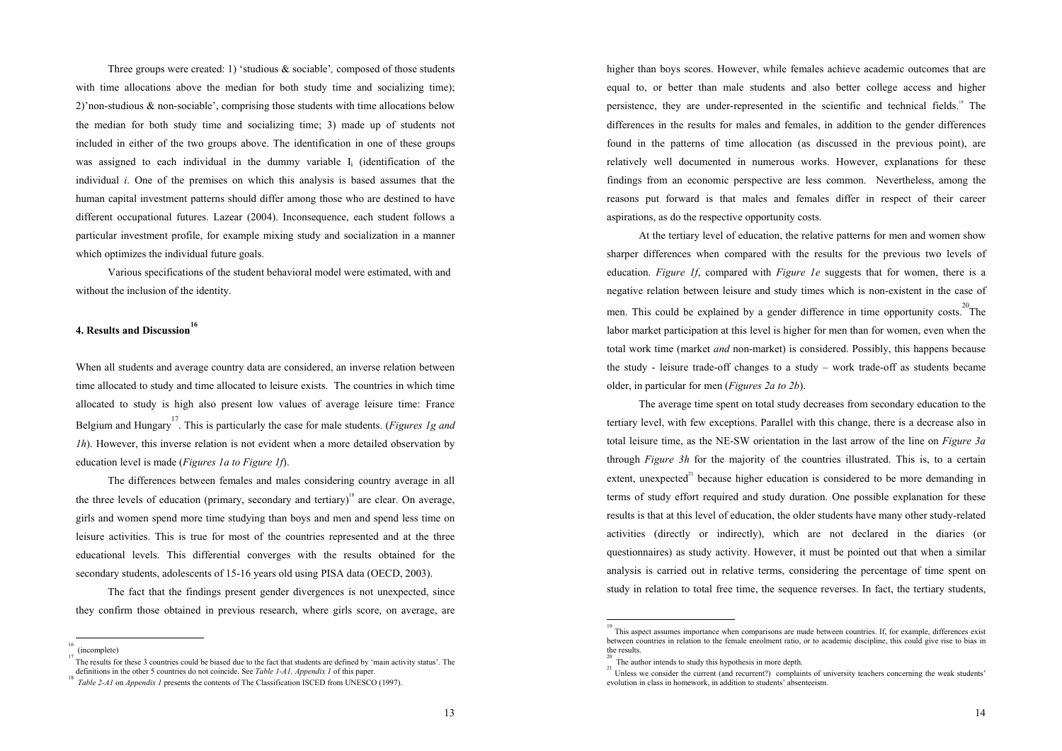Three groups were created: 1) 'studious & sociable'*,* composed of those students with time allocations above the median for both study time and socializing time); 2)'non-studious & non-sociable', comprising those students with time allocations below the median for both study time and socializing time; 3) made up of students not included in either of the two groups above. The identification in one of these groups was assigned to each individual in the dummy variable  $I_i$  (identification of the individual *i*. One of the premises on which this analysis is based assumes that the human capital investment patterns should differ among those who are destined to have different occupational futures. Lazear (2004). Inconsequence, each student follows a particular investment profile, for example mixing study and socialization in a manner which optimizes the individual future goals.

Various specifications of the student behavioral model were estimated, with and without the inclusion of the identity.

# **4. Results and Discussion16**

When all students and average country data are considered, an inverse relation between time allocated to study and time allocated to leisure exists. The countries in which time allocated to study is high also present low values of average leisure time: France Belgium and Hungary 17 . This is particularly the case for male students. (*Figures 1g and 1h*). However, this inverse relation is not evident when a more detailed observation by education level is made (*Figures 1a to Figure 1f*).

The differences between females and males considering country average in all the three levels of education (primary, secondary and tertiary)<sup>18</sup> are clear. On average, girls and women spend more time studying than boys and men and spend less time on leisure activities. This is true for most of the countries represented and at the three educational levels. This differential converges with the results obtained for the secondary students, adolescents of 15-16 years old using PISA data (OECD, 2003).

The fact that the findings present gender divergences is not unexpected, since they confirm those obtained in previous research, where girls score, on average, are

16

higher than boys scores. However, while females achieve academic outcomes that are equal to, or better than male students and also better college access and higher persistence, they are under-represented in the scientific and technical fields.<sup>19</sup> The differences in the results for males and females, in addition to the gender differences found in the patterns of time allocation (as discussed in the previous point), are relatively well documented in numerous works. However, explanations for these findings from an economic perspective are less common. Nevertheless, among the reasons put forward is that males and females differ in respect of their career aspirations, as do the respective opportunity costs.

At the tertiary level of education, the relative patterns for men and women show sharper differences when compared with the results for the previous two levels of education. *Figure 1f*, compared with *Figure 1e* suggests that for women, there is a negative relation between leisure and study times which is non-existent in the case of men. This could be explained by a gender difference in time opportunity costs. <sup>20</sup>The labor market participation at this level is higher for men than for women, even when the total work time (market *and* non-market) is considered. Possibly, this happens because the study - leisure trade-off changes to a study – work trade-off as students became older, in particular for men (*Figures 2a to 2b*).

The average time spent on total study decreases from secondary education to the tertiary level, with few exceptions. Parallel with this change, there is a decrease also in total leisure time, as the NE-SW orientation in the last arrow of the line on *Figure 3a* through *Figure 3h* for the majority of the countries illustrated. This is, to a certain extent, unexpected $2<sup>1</sup>$  because higher education is considered to be more demanding in terms of study effort required and study duration. One possible explanation for these results is that at this level of education, the older students have many other study-related activities (directly or indirectly), which are not declared in the diaries (or questionnaires) as study activity. However, it must be pointed out that when a similar analysis is carried out in relative terms, considering the percentage of time spent on study in relation to total free time, the sequence reverses. In fact, the tertiary students,

19

 <sup>(</sup>incomplete) 17

The results for these 3 countries could be biased due to the fact that students are defined by 'main activity status'. The definitions in the other 5 countries do not coincide. See *Table 1-A1, Appendix 1* of this paper.

<sup>18</sup>*Table 2-A1* on *Appendix 1* presents the contents of The Classification ISCED from UNESCO (1997).

This aspect assumes importance when comparisons are made between countries. If, for example, differences exist between countries in relation to the female enrolment ratio, or to academic discipline, this could give rise to bias in the results.

The author intends to study this hypothesis in more depth.

<sup>&</sup>lt;sup>21</sup> Unless we consider the current (and recurrent?) complaints of university teachers concerning the weak students' evolution in class in homework, in addition to students' absenteeism.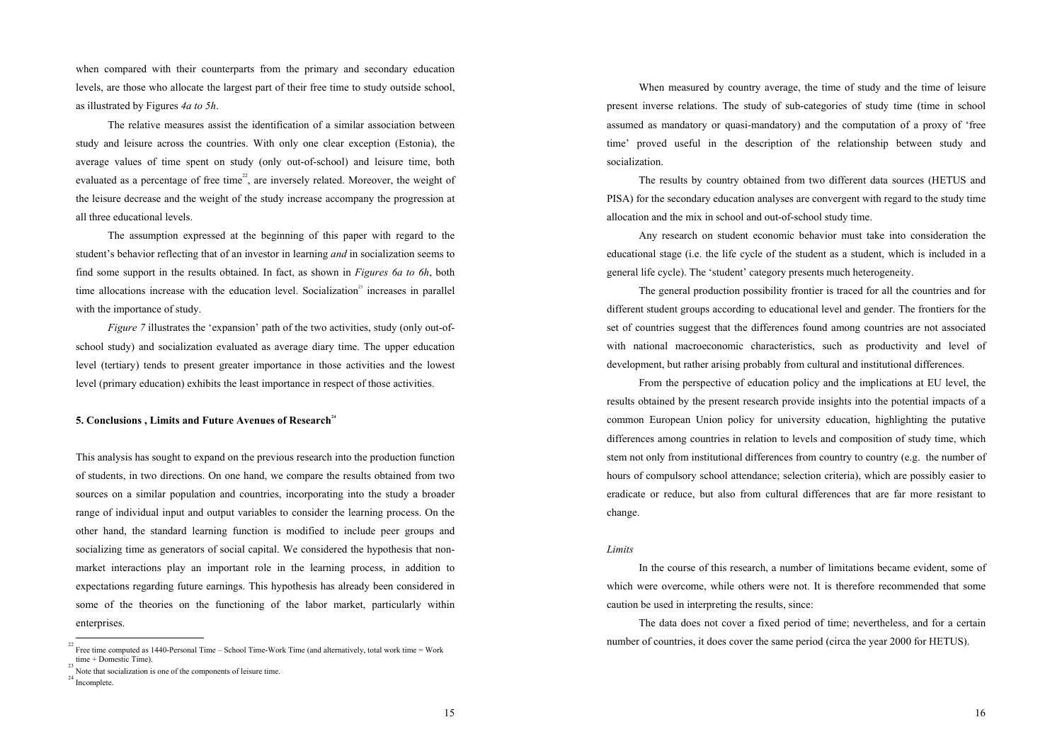when compared with their counterparts from the primary and secondary education levels, are those who allocate the largest part of their free time to study outside school, as illustrated by Figures *4a to 5h*.

The relative measures assist the identification of a similar association between study and leisure across the countries. With only one clear exception (Estonia), the average values of time spent on study (only out-of-school) and leisure time, both evaluated as a percentage of free time<sup>22</sup>, are inversely related. Moreover, the weight of the leisure decrease and the weight of the study increase accompany the progression at all three educational levels.

The assumption expressed at the beginning of this paper with regard to the student's behavior reflecting that of an investor in learning *and* in socialization seems to find some support in the results obtained. In fact, as shown in *Figures 6a to 6h*, both time allocations increase with the education level. Socialization<sup>23</sup> increases in parallel with the importance of study.

*Figure 7* illustrates the 'expansion' path of the two activities, study (only out-ofschool study) and socialization evaluated as average diary time. The upper education level (tertiary) tends to present greater importance in those activities and the lowest level (primary education) exhibits the least importance in respect of those activities.

#### **5. Conclusions , Limits and Future Avenues of Research<sup>24</sup>**

This analysis has sought to expand on the previous research into the production function of students, in two directions. On one hand, we compare the results obtained from two sources on a similar population and countries, incorporating into the study a broader range of individual input and output variables to consider the learning process. On the other hand, the standard learning function is modified to include peer groups and socializing time as generators of social capital. We considered the hypothesis that nonmarket interactions play an important role in the learning process, in addition to expectations regarding future earnings. This hypothesis has already been considered in some of the theories on the functioning of the labor market, particularly within enterprises.

 When measured by country average, the time of study and the time of leisure present inverse relations. The study of sub-categories of study time (time in school assumed as mandatory or quasi-mandatory) and the computation of a proxy of 'free time' proved useful in the description of the relationship between study and socialization.

The results by country obtained from two different data sources (HETUS and PISA) for the secondary education analyses are convergent with regard to the study time allocation and the mix in school and out-of-school study time.

Any research on student economic behavior must take into consideration the educational stage (i.e. the life cycle of the student as a student, which is included in a general life cycle). The 'student' category presents much heterogeneity.

The general production possibility frontier is traced for all the countries and for different student groups according to educational level and gender. The frontiers for the set of countries suggest that the differences found among countries are not associated with national macroeconomic characteristics, such as productivity and level of development, but rather arising probably from cultural and institutional differences.

 From the perspective of education policy and the implications at EU level, the results obtained by the present research provide insights into the potential impacts of a common European Union policy for university education, highlighting the putative differences among countries in relation to levels and composition of study time, which stem not only from institutional differences from country to country (e.g. the number of hours of compulsory school attendance; selection criteria), which are possibly easier to eradicate or reduce, but also from cultural differences that are far more resistant to change.

### *Limits*

In the course of this research, a number of limitations became evident, some of which were overcome, while others were not. It is therefore recommended that some caution be used in interpreting the results, since:

The data does not cover a fixed period of time; nevertheless, and for a certain number of countries, it does cover the same period (circa the year 2000 for HETUS).

<sup>&</sup>lt;sup>22</sup> Free time computed as 1440-Personal Time – School Time-Work Time (and alternatively, total work time = Work time + Domestic Time).

Note that socialization is one of the components of leisure time.

<sup>24</sup>Incomplete.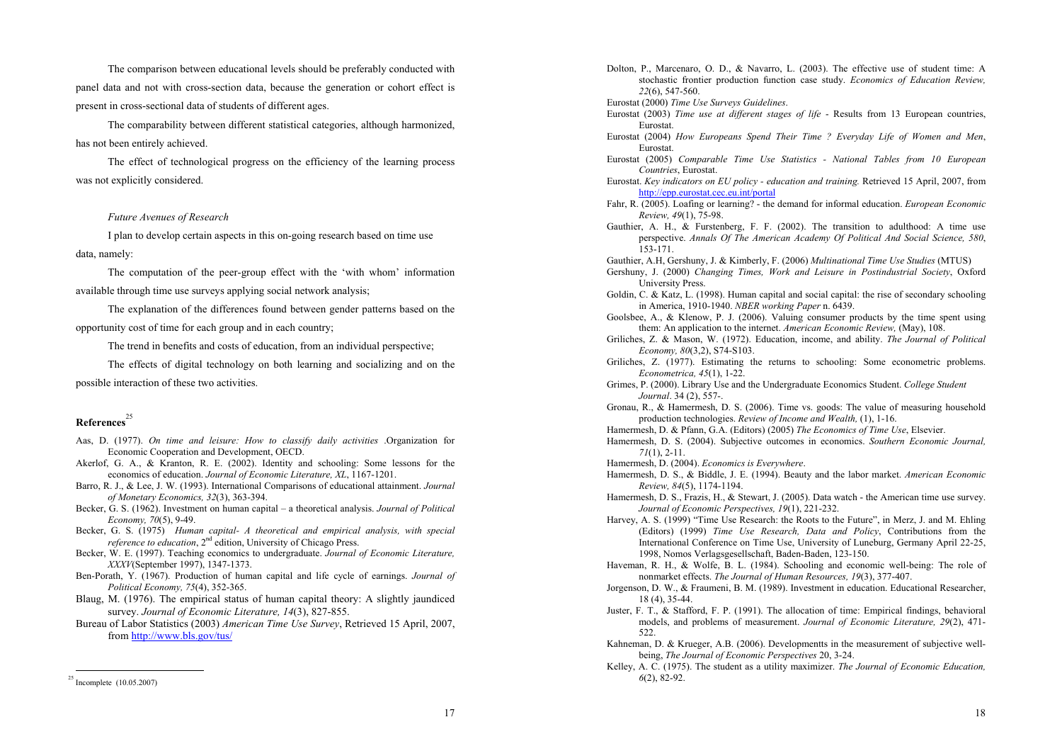The comparison between educational levels should be preferably conducted with panel data and not with cross-section data, because the generation or cohort effect is present in cross-sectional data of students of different ages.

The comparability between different statistical categories, although harmonized, has not been entirely achieved.

The effect of technological progress on the efficiency of the learning process was not explicitly considered.

### *Future Avenues of Research*

I plan to develop certain aspects in this on-going research based on time use data, namely:

The computation of the peer-group effect with the 'with whom' information available through time use surveys applying social network analysis;

The explanation of the differences found between gender patterns based on the opportunity cost of time for each group and in each country;

The trend in benefits and costs of education, from an individual perspective;

The effects of digital technology on both learning and socializing and on the possible interaction of these two activities.

# **References** 25

- Aas, D. (1977). *On time and leisure: How to classify daily activities* .Organization for Economic Cooperation and Development, OECD.
- Akerlof, G. A., & Kranton, R. E. (2002). Identity and schooling: Some lessons for the economics of education. *Journal of Economic Literature, XL*, 1167-1201.
- Barro, R. J., & Lee, J. W. (1993). International Comparisons of educational attainment. *Journal of Monetary Economics, 32*(3), 363-394.
- Becker, G. S. (1962). Investment on human capital a theoretical analysis. *Journal of Political Economy, 70*(5), 9-49.
- Becker, G. S. (1975) *Human capital- A theoretical and empirical analysis, with special reference to education*, 2<sup>nd</sup> edition, University of Chicago Press.
- Becker, W. E. (1997). Teaching economics to undergraduate. *Journal of Economic Literature, XXXV*(September 1997), 1347-1373.
- Ben-Porath, Y. (1967). Production of human capital and life cycle of earnings. *Journal of Political Economy, 75*(4), 352-365.
- Blaug, M. (1976). The empirical status of human capital theory: A slightly jaundiced survey. *Journal of Economic Literature, 14*(3), 827-855.
- Bureau of Labor Statistics (2003) *American Time Use Survey*, Retrieved 15 April, 2007, from http://www.bls.gov/tus/
- Dolton, P., Marcenaro, O. D., & Navarro, L. (2003). The effective use of student time: A stochastic frontier production function case study. *Economics of Education Review, 22*(6), 547-560.
- Eurostat (2000) *Time Use Surveys Guidelines*.
- Eurostat (2003) *Time use at different stages of life* Results from 13 European countries, Eurostat.
- Eurostat (2004) *How Europeans Spend Their Time ? Everyday Life of Women and Men*, Eurostat.
- Eurostat (2005) *Comparable Time Use Statistics National Tables from 10 European Countries*, Eurostat.
- Eurostat. *Key indicators on EU policy education and training.* Retrieved 15 April, 2007, from http://epp.eurostat.cec.eu.int/portal
- Fahr, R. (2005). Loafing or learning? the demand for informal education. *European Economic Review, 49*(1), 75-98.
- Gauthier, A. H., & Furstenberg, F. F. (2002). The transition to adulthood: A time use perspective. *Annals Of The American Academy Of Political And Social Science, 580*, 153-171.
- Gauthier, A.H, Gershuny, J. & Kimberly, F. (2006) *Multinational Time Use Studies* (MTUS)
- Gershuny, J. (2000) *Changing Times, Work and Leisure in Postindustrial Society*, Oxford University Press.
- Goldin, C. & Katz, L. (1998). Human capital and social capital: the rise of secondary schooling in America, 1910-1940. *NBER working Paper* n. 6439.
- Goolsbee, A., & Klenow, P. J. (2006). Valuing consumer products by the time spent using them: An application to the internet. *American Economic Review,* (May), 108.
- Griliches, Z. & Mason, W. (1972). Education, income, and ability. *The Journal of Political Economy, 80*(3,2), S74-S103.
- Griliches, Z. (1977). Estimating the returns to schooling: Some econometric problems. *Econometrica, 45*(1), 1-22.
- Grimes, P. (2000). Library Use and the Undergraduate Economics Student. *College Student Journal*. 34 (2), 557-.
- Gronau, R., & Hamermesh, D. S. (2006). Time vs. goods: The value of measuring household production technologies. *Review of Income and Wealth,* (1), 1-16.
- Hamermesh, D. & Pfann, G.A. (Editors) (2005) *The Economics of Time Use*, Elsevier.
- Hamermesh, D. S. (2004). Subjective outcomes in economics. *Southern Economic Journal, 71*(1), 2-11.
- Hamermesh, D. (2004). *Economics is Everywhere*.
- Hamermesh, D. S., & Biddle, J. E. (1994). Beauty and the labor market. *American Economic Review, 84*(5), 1174-1194.
- Hamermesh, D. S., Frazis, H., & Stewart, J. (2005). Data watch the American time use survey. *Journal of Economic Perspectives, 19*(1), 221-232.
- Harvey, A. S. (1999) "Time Use Research: the Roots to the Future", in Merz, J. and M. Ehling (Editors) (1999) *Time Use Research, Data and Policy*, Contributions from the International Conference on Time Use, University of Luneburg, Germany April 22-25, 1998, Nomos Verlagsgesellschaft, Baden-Baden, 123-150.
- Haveman, R. H., & Wolfe, B. L. (1984). Schooling and economic well-being: The role of nonmarket effects. *The Journal of Human Resources, 19*(3), 377-407.
- Jorgenson, D. W., & Fraumeni, B. M. (1989). Investment in education. Educational Researcher, 18 (4), 35-44.
- Juster, F. T., & Stafford, F. P. (1991). The allocation of time: Empirical findings, behavioral models, and problems of measurement. *Journal of Economic Literature, 29*(2), 471- 522.
- Kahneman, D. & Krueger, A.B. (2006). Developmentts in the measurement of subjective wellbeing, *The Journal of Economic Perspectives* 20, 3-24.
- Kelley, A. C. (1975). The student as a utility maximizer. *The Journal of Economic Education, 6*(2), 82-92.

<sup>25</sup>Incomplete (10.05.2007)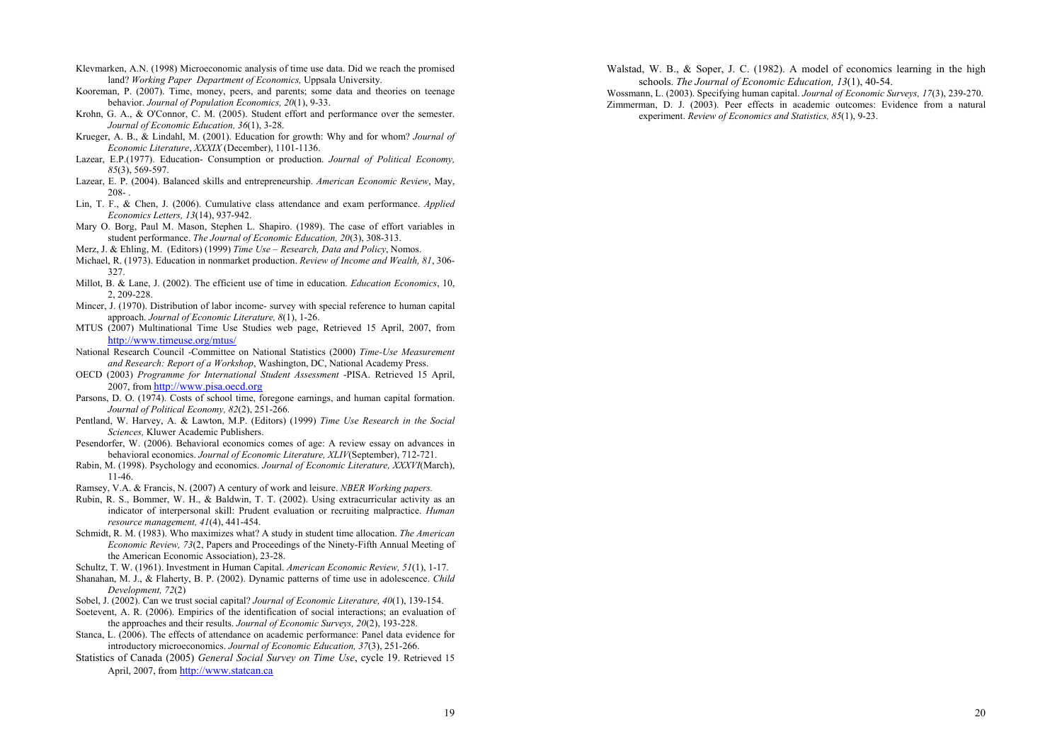- Klevmarken, A.N. (1998) Microeconomic analysis of time use data. Did we reach the promised land? *Working Paper Department of Economics,* Uppsala University.
- Kooreman, P. (2007). Time, money, peers, and parents; some data and theories on teenage behavior. *Journal of Population Economics, 20*(1), 9-33.
- Krohn, G. A., & O'Connor, C. M. (2005). Student effort and performance over the semester. *Journal of Economic Education, 36*(1), 3-28.
- Krueger, A. B., & Lindahl, M. (2001). Education for growth: Why and for whom? *Journal of Economic Literature*, *XXXIX* (December), 1101-1136.
- Lazear, E.P.(1977). Education- Consumption or production. *Journal of Political Economy, 85*(3), 569-597.
- Lazear, E. P. (2004). Balanced skills and entrepreneurship. *American Economic Review*, May, 208-
- Lin, T. F., & Chen, J. (2006). Cumulative class attendance and exam performance. *Applied Economics Letters, 13*(14), 937-942.
- Mary O. Borg, Paul M. Mason, Stephen L. Shapiro. (1989). The case of effort variables in student performance. *The Journal of Economic Education, 20*(3), 308-313.
- Merz, J. & Ehling, M. (Editors) (1999) *Time Use Research, Data and Policy*, Nomos.
- Michael, R. (1973). Education in nonmarket production. *Review of Income and Wealth, 81*, 306- 327.
- Millot, B. & Lane, J. (2002). The efficient use of time in education. *Education Economics*, 10, 2, 209-228.
- Mincer, J. (1970). Distribution of labor income- survey with special reference to human capital approach. *Journal of Economic Literature, 8*(1), 1-26.
- MTUS (2007) Multinational Time Use Studies web page, Retrieved 15 April, 2007, from http://www.timeuse.org/mtus/
- National Research Council -Committee on National Statistics (2000) *Time-Use Measurement and Research: Report of a Workshop*, Washington, DC, National Academy Press.
- OECD (2003) *Programme for International Student Assessment* -PISA. Retrieved 15 April, 2007, from http://www.pisa.oecd.org
- Parsons, D. O. (1974). Costs of school time, foregone earnings, and human capital formation. *Journal of Political Economy, 82*(2), 251-266.
- Pentland, W. Harvey, A. & Lawton, M.P. (Editors) (1999) *Time Use Research in the Social Sciences,* Kluwer Academic Publishers.
- Pesendorfer, W. (2006). Behavioral economics comes of age: A review essay on advances in behavioral economics. *Journal of Economic Literature, XLIV*(September), 712-721.
- Rabin, M. (1998). Psychology and economics. *Journal of Economic Literature, XXXVI*(March), 11-46.
- Ramsey, V.A. & Francis, N. (2007) A century of work and leisure. *NBER Working papers.*
- Rubin, R. S., Bommer, W. H., & Baldwin, T. T. (2002). Using extracurricular activity as an indicator of interpersonal skill: Prudent evaluation or recruiting malpractice. *Human resource management, 41*(4), 441-454.
- Schmidt, R. M. (1983). Who maximizes what? A study in student time allocation. *The American Economic Review, 73*(2, Papers and Proceedings of the Ninety-Fifth Annual Meeting of the American Economic Association), 23-28.
- Schultz, T. W. (1961). Investment in Human Capital. *American Economic Review, 51*(1), 1-17.
- Shanahan, M. J., & Flaherty, B. P. (2002). Dynamic patterns of time use in adolescence. *Child Development, 72*(2)
- Sobel, J. (2002). Can we trust social capital? *Journal of Economic Literature, 40*(1), 139-154.
- Soetevent, A. R. (2006). Empirics of the identification of social interactions; an evaluation of the approaches and their results. *Journal of Economic Surveys, 20*(2), 193-228.
- Stanca, L. (2006). The effects of attendance on academic performance: Panel data evidence for introductory microeconomics. *Journal of Economic Education, 37*(3), 251-266.
- Statistics of Canada (2005) *General Social Survey on Time Use*, cycle 19. Retrieved 15 April, 2007, from http://www.statcan.ca
- Walstad, W. B., & Soper, J. C. (1982). A model of economics learning in the high schools. *The Journal of Economic Education, 13*(1), 40-54.
- Wossmann, L. (2003). Specifying human capital. *Journal of Economic Surveys, 17*(3), 239-270. Zimmerman, D. J. (2003). Peer effects in academic outcomes: Evidence from a natural experiment. *Review of Economics and Statistics, 85*(1), 9-23.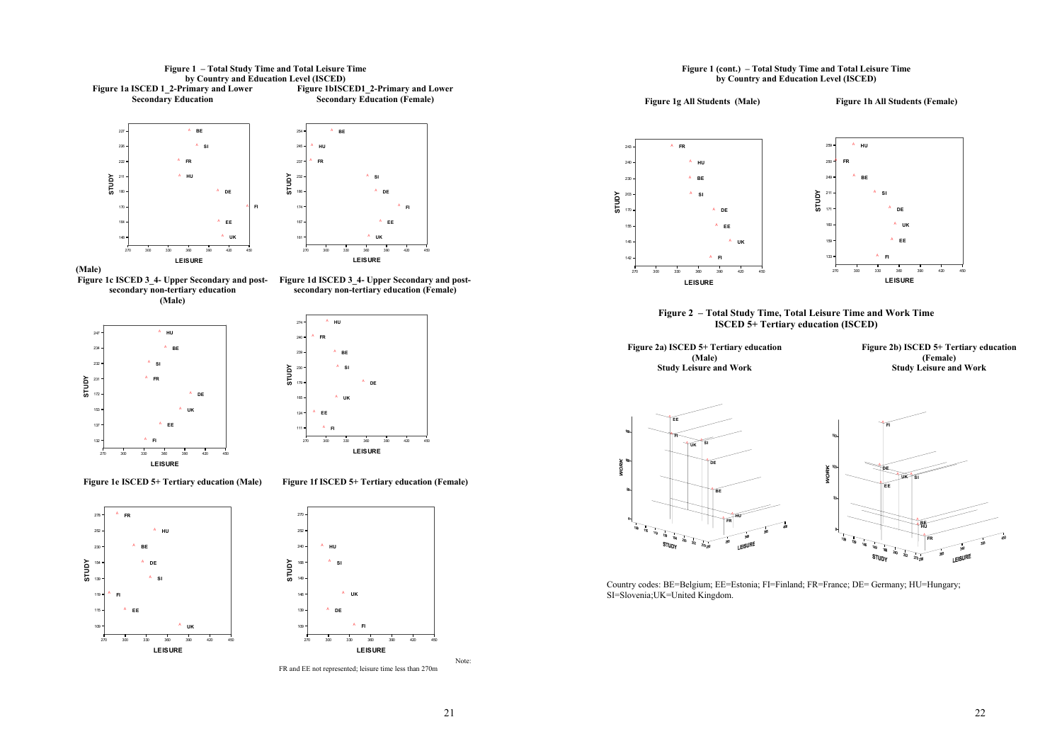





**Figure 1c ISCED 3\_4- Upper Secondary and post-Figure 1d ISCED 3\_4- Upper Secondary and postsecondary non-tertiary education (Male)** 

**secondary non-tertiary education (Female)** 



270 300 330 360 390 420 450**LEISURE** 124165179239 $240$ **STUDY BEEEFIFRDEHUSIUK**

**Figure 1e ISCED 5+ Tertiary education (Male)** 

**Figure 1f ISCED 5+ Tertiary education (Female)**



FR and EE not represented; leisure time less than 270m

#### **Figure 1 (cont.) – Total Study Time and Total Leisure Time by Country and Education Level (ISCED)**



**Figure 2 – Total Study Time, Total Leisure Time and Work Time ISCED 5+ Tertiary education (ISCED)** 

**Figure 2a) ISCED 5+ Tertiary education (Male) Study Leisure and Work** 

**Figure 2b) ISCED 5+ Tertiary education (Female) Study Leisure and Work** 





Country codes: BE=Belgium; EE=Estonia; FI=Finland; FR=France; DE= Germany; HU=Hungary; SI=Slovenia;UK=United Kingdom.



Note: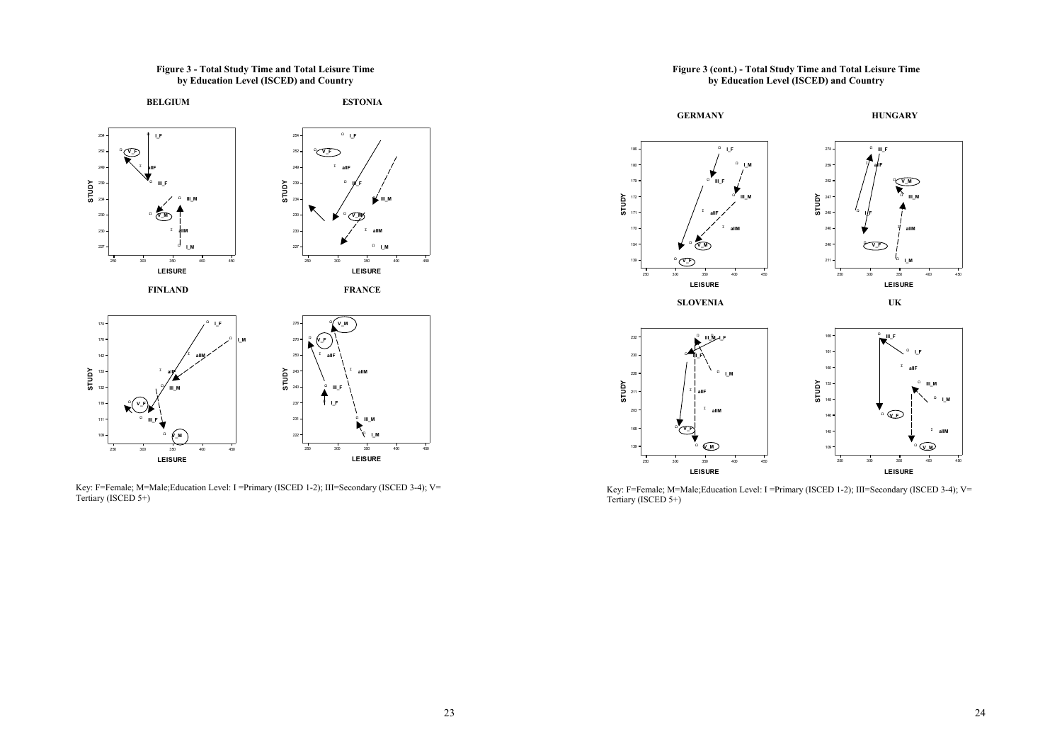**Figure 3 - Total Study Time and Total Leisure Time by Education Level (ISCED) and Country** 



Key: F=Female; M=Male; Education Level: I = Primary (ISCED 1-2); III=Secondary (ISCED 3-4); V= Tertiary (ISCED 5+)

### **Figure 3 (cont.) - Total Study Time and Total Leisure Time by Education Level (ISCED) and Country**



Key: F=Female; M=Male; Education Level: I =Primary (ISCED 1-2); III=Secondary (ISCED 3-4); V= Tertiary (ISCED 5+)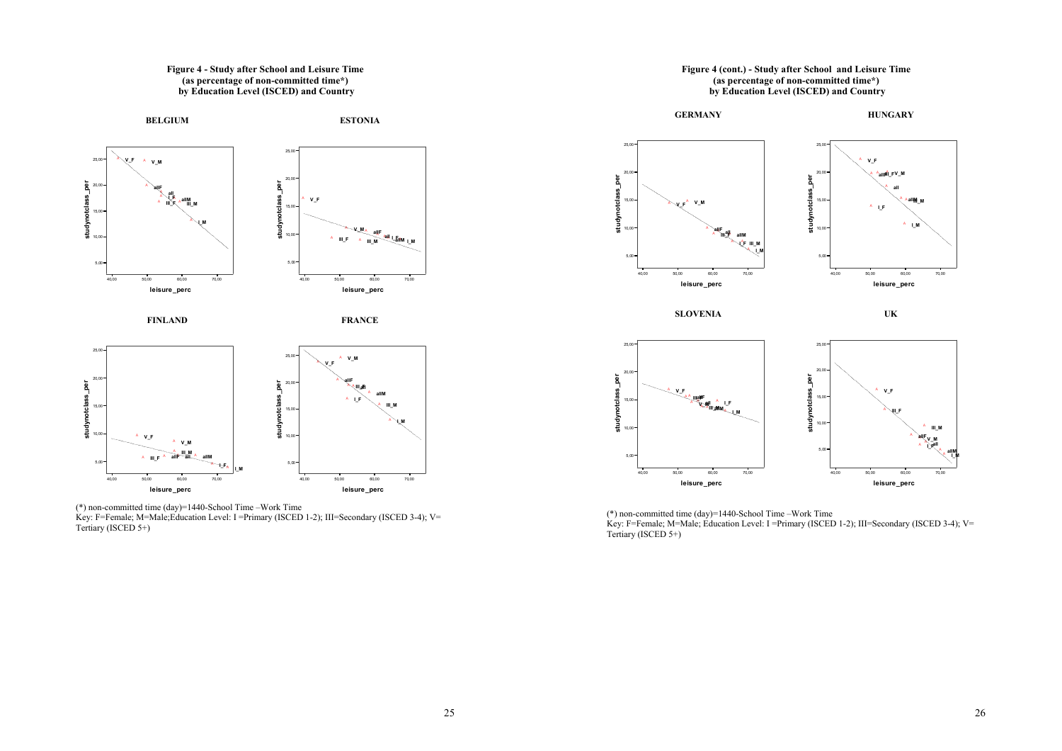#### **Figure 4 - Study after School and Leisure Time (as percentage of non-committed time\*) by Education Level (ISCED) and Country**



**FINLAND** 

**FRANCE** 



(\*) non-committed time (day)=1440-School Time –Work Time Key: F=Female; M=Male;Education Level: I =Primary (ISCED 1-2); III=Secondary (ISCED 3-4); V= Tertiary (ISCED 5+)

# **Figure 4 (cont.) - Study after School and Leisure Time (as percentage of non-committed time\*) by Education Level (ISCED) and Country GERMANY HUNGARY**



**SLOVENIA** 

**UK** 



(\*) non-committed time (day)=1440-School Time –Work Time Key: F=Female; M=Male; Education Level: I =Primary (ISCED 1-2); III=Secondary (ISCED 3-4); V= Tertiary (ISCED 5+)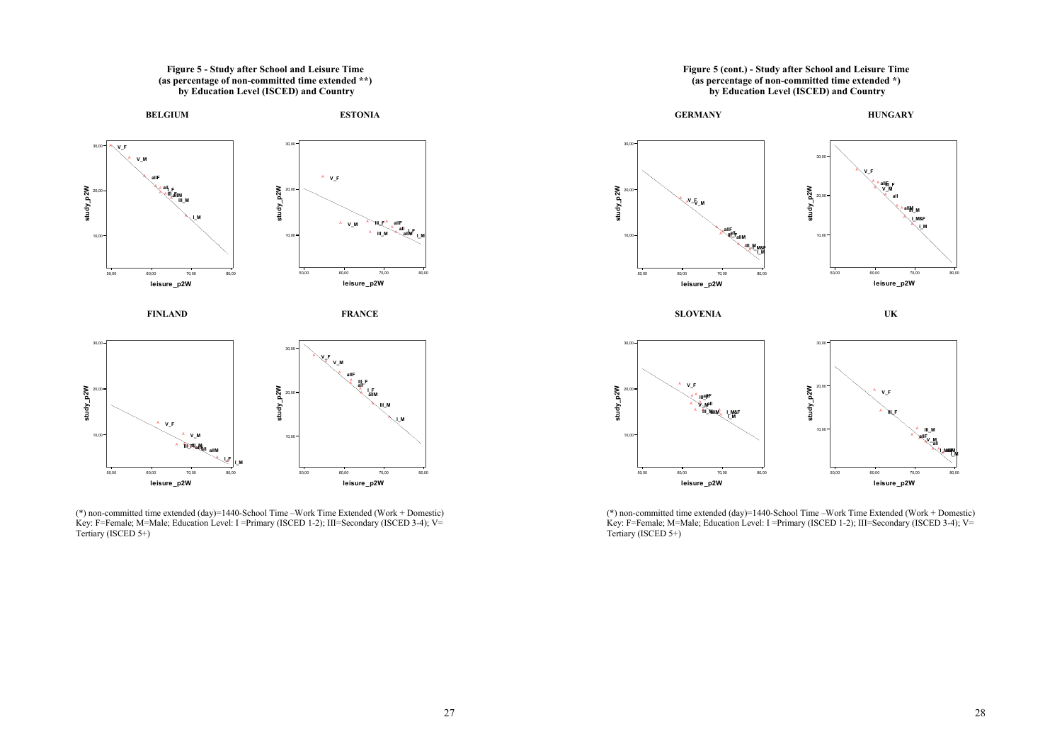



50,00 60,00 70,00 80,00**leisure\_p2W**

50,00 60,00 70,00 80,00**leisure\_p2W**



(\*) non-committed time extended (day)=1440-School Time –Work Time Extended (Work + Domestic) Key: F=Female; M=Male; Education Level: I =Primary (ISCED 1-2); III=Secondary (ISCED 3-4); V= Tertiary (ISCED 5+)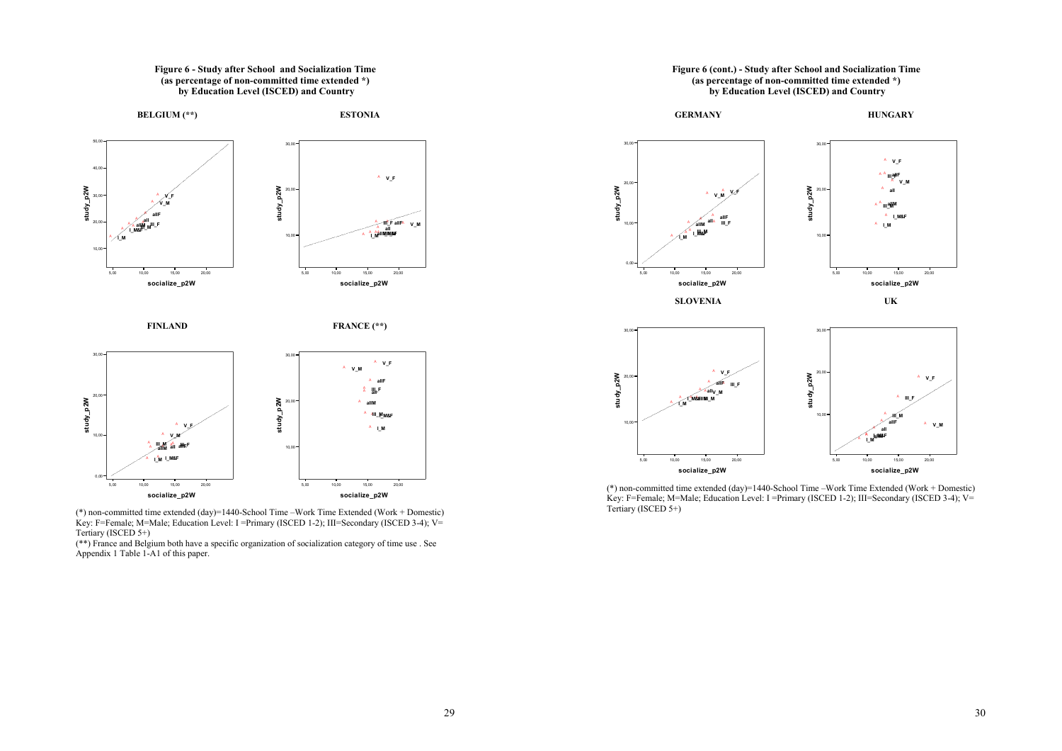

(\*) non-committed time extended (day)=1440-School Time –Work Time Extended (Work + Domestic) Key: F=Female; M=Male; Education Level: I =Primary (ISCED 1-2); III=Secondary (ISCED 3-4); V= Tertiary (ISCED 5+)

(\*\*) France and Belgium both have a specific organization of socialization category of time use . See Appendix 1 Table 1-A1 of this paper.





(\*) non-committed time extended (day)=1440-School Time –Work Time Extended (Work + Domestic) Key: F=Female; M=Male; Education Level: I =Primary (ISCED 1-2); III=Secondary (ISCED 3-4); V= Tertiary (ISCED 5+)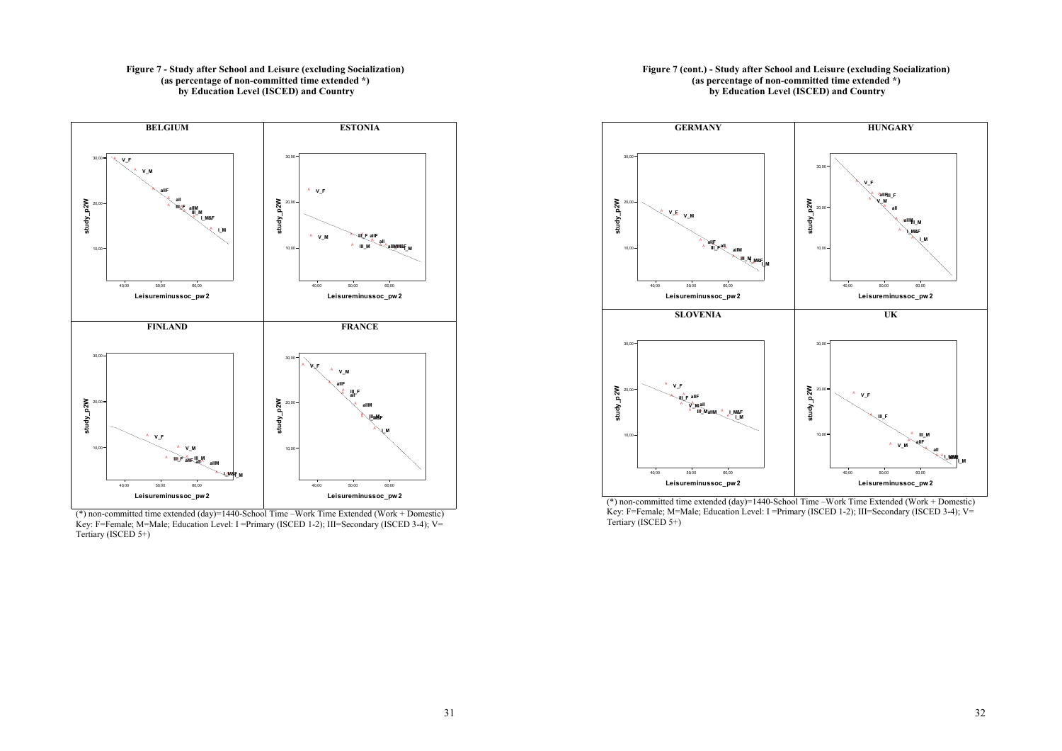### **Figure 7 - Study after School and Leisure (excluding Socialization) (as percentage of non-committed time extended \*) by Education Level (ISCED) and Country**



(\*) non-committed time extended (day)=1440-School Time –Work Time Extended (Work + Domestic) Key: F=Female; M=Male; Education Level: I =Primary (ISCED 1-2); III=Secondary (ISCED 3-4); V= Tertiary (ISCED 5+)

### **Figure 7 (cont.) - Study after School and Leisure (excluding Socialization) (as percentage of non-committed time extended \*) by Education Level (ISCED) and Country**



(\*) non-committed time extended (day)=1440-School Time –Work Time Extended (Work + Domestic) Key: F=Female; M=Male; Education Level: I =Primary (ISCED 1-2); III=Secondary (ISCED 3-4); V= Tertiary (ISCED 5+)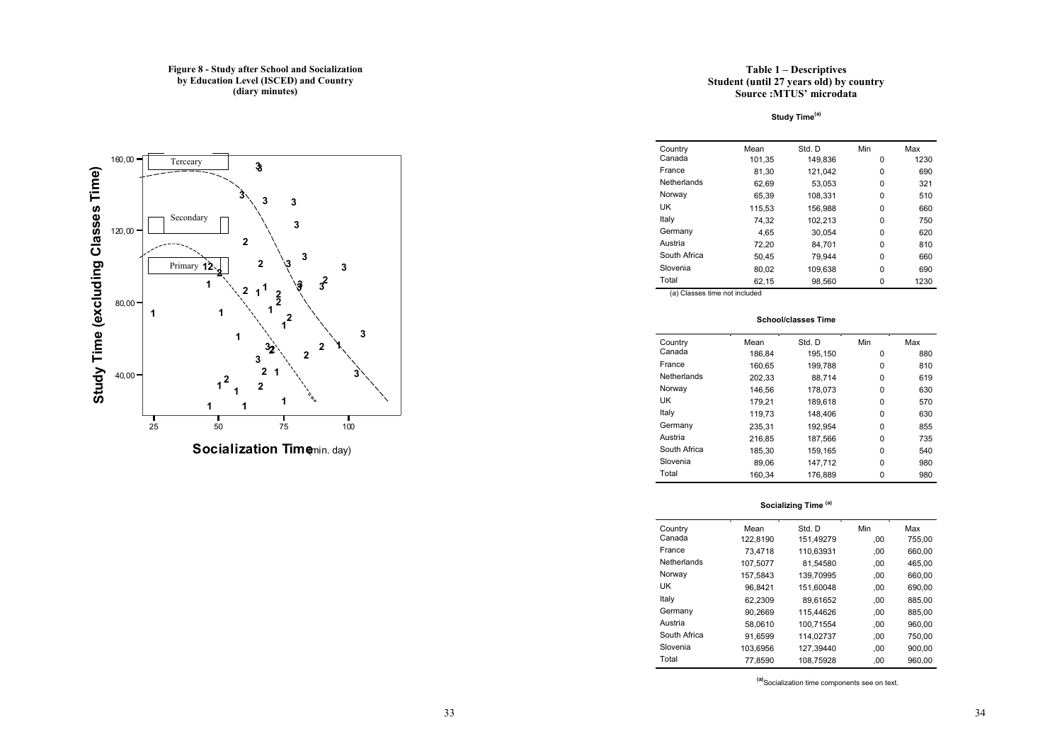### **Figure 8 - Study after School and Socialization by Education Level (ISCED) and Country (diary minutes)**



**Socialization Time**min. day)

### **Table 1 – Descriptives Student (until 27 years old) by country Source :MTUS' microdata**

**Study Time(a)**

| Country      | Mean   | Std. D  | Min | Max  |
|--------------|--------|---------|-----|------|
| Canada       | 101.35 | 149.836 | 0   | 1230 |
| France       | 81,30  | 121,042 | 0   | 690  |
| Netherlands  | 62.69  | 53.053  | 0   | 321  |
| Norway       | 65.39  | 108,331 | 0   | 510  |
| UK           | 115,53 | 156,988 | 0   | 660  |
| Italy        | 74.32  | 102,213 | 0   | 750  |
| Germany      | 4.65   | 30.054  | 0   | 620  |
| Austria      | 72.20  | 84.701  | 0   | 810  |
| South Africa | 50.45  | 79.944  | 0   | 660  |
| Slovenia     | 80,02  | 109.638 | 0   | 690  |
| Total        | 62,15  | 98.560  | 0   | 1230 |

(a) Classes time not included

#### **School/classes Time**

| Country      | Mean   | Std. D  | Min | Max |
|--------------|--------|---------|-----|-----|
| Canada       | 186,84 | 195,150 | 0   | 880 |
| France       | 160.65 | 199.788 | 0   | 810 |
| Netherlands  | 202.33 | 88.714  | 0   | 619 |
| Norway       | 146.56 | 178.073 | 0   | 630 |
| UK           | 179.21 | 189.618 | 0   | 570 |
| Italy        | 119,73 | 148.406 | 0   | 630 |
| Germany      | 235.31 | 192.954 | 0   | 855 |
| Austria      | 216,85 | 187,566 | 0   | 735 |
| South Africa | 185.30 | 159.165 | 0   | 540 |
| Slovenia     | 89.06  | 147.712 | 0   | 980 |
| Total        | 160.34 | 176.889 | 0   | 980 |
|              |        |         |     |     |

**Socializing Time (a)**

| Country      | Mean     | Std. D    | Min | Max    |
|--------------|----------|-----------|-----|--------|
| Canada       | 122,8190 | 151,49279 | .00 | 755,00 |
| France       | 73.4718  | 110.63931 | .00 | 660.00 |
| Netherlands  | 107.5077 | 81.54580  | .00 | 465.00 |
| Norway       | 157.5843 | 139.70995 | .00 | 660.00 |
| UK           | 96.8421  | 151.60048 | .00 | 690.00 |
| Italy        | 62.2309  | 89.61652  | .00 | 885.00 |
| Germany      | 90.2669  | 115.44626 | .00 | 885.00 |
| Austria      | 58.0610  | 100.71554 | .00 | 960.00 |
| South Africa | 91.6599  | 114.02737 | .00 | 750.00 |
| Slovenia     | 103.6956 | 127.39440 | .00 | 900.00 |
| Total        | 77.8590  | 108.75928 | .00 | 960.00 |

**(a)**Socialization time components see on text.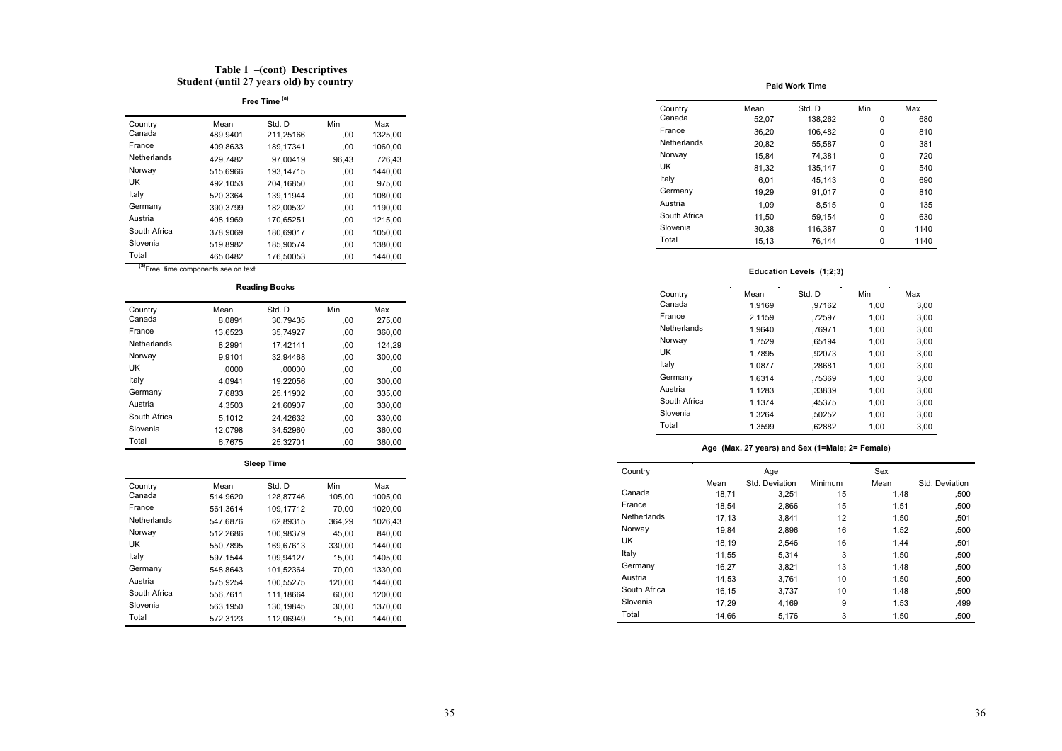## **Table 1 –(cont) Descriptives Student (until 27 years old) by country**

# **Free Time (a)**

| Country      | Mean     | Std. D    | Min   | Max     |
|--------------|----------|-----------|-------|---------|
| Canada       | 489,9401 | 211.25166 | .00   | 1325,00 |
| France       | 409.8633 | 189.17341 | .00   | 1060,00 |
| Netherlands  | 429.7482 | 97.00419  | 96,43 | 726,43  |
| Norway       | 515.6966 | 193.14715 | .00   | 1440.00 |
| UK           | 492.1053 | 204.16850 | .00   | 975,00  |
| Italy        | 520.3364 | 139.11944 | .00   | 1080,00 |
| Germany      | 390.3799 | 182.00532 | 00,   | 1190.00 |
| Austria      | 408.1969 | 170,65251 | .00   | 1215,00 |
| South Africa | 378.9069 | 180.69017 | 00,   | 1050.00 |
| Slovenia     | 519.8982 | 185.90574 | .00   | 1380.00 |
| Total        | 465.0482 | 176.50053 | .00   | 1440.00 |
|              |          |           |       |         |

**(a)**Free time components see on text

#### **Reading Books**

| Country      | Mean    | Std. D   | Min | Max    |
|--------------|---------|----------|-----|--------|
| Canada       | 8.0891  | 30.79435 | .00 | 275,00 |
| France       | 13.6523 | 35.74927 | .00 | 360.00 |
| Netherlands  | 8.2991  | 17,42141 | .00 | 124.29 |
| Norway       | 9.9101  | 32.94468 | .00 | 300,00 |
| UK           | .0000   | .00000   | .00 | .00    |
| Italy        | 4.0941  | 19.22056 | .00 | 300.00 |
| Germany      | 7.6833  | 25.11902 | .00 | 335,00 |
| Austria      | 4.3503  | 21,60907 | .00 | 330.00 |
| South Africa | 5.1012  | 24.42632 | .00 | 330.00 |
| Slovenia     | 12.0798 | 34.52960 | .00 | 360.00 |
| Total        | 6.7675  | 25.32701 | .00 | 360.00 |

### **Sleep Time**

| Country      | Mean     | Std. D    | Min    | Max     |
|--------------|----------|-----------|--------|---------|
| Canada       | 514.9620 | 128.87746 | 105,00 | 1005,00 |
| France       | 561.3614 | 109.17712 | 70.00  | 1020.00 |
| Netherlands  | 547.6876 | 62.89315  | 364.29 | 1026.43 |
| Norway       | 512.2686 | 100.98379 | 45.00  | 840.00  |
| UK           | 550.7895 | 169.67613 | 330.00 | 1440.00 |
| Italy        | 597.1544 | 109.94127 | 15.00  | 1405.00 |
| Germany      | 548.8643 | 101.52364 | 70.00  | 1330.00 |
| Austria      | 575.9254 | 100.55275 | 120.00 | 1440.00 |
| South Africa | 556.7611 | 111.18664 | 60.00  | 1200.00 |
| Slovenia     | 563.1950 | 130.19845 | 30.00  | 1370.00 |
| Total        | 572.3123 | 112.06949 | 15.00  | 1440.00 |

#### **Paid Work Time**

| Country      | Mean  | Std. D  | Min | Max  |
|--------------|-------|---------|-----|------|
| Canada       | 52,07 | 138,262 | 0   | 680  |
| France       | 36.20 | 106.482 | 0   | 810  |
| Netherlands  | 20,82 | 55,587  | 0   | 381  |
| Norway       | 15,84 | 74,381  | 0   | 720  |
| UK           | 81,32 | 135.147 | 0   | 540  |
| Italy        | 6.01  | 45.143  | 0   | 690  |
| Germany      | 19,29 | 91.017  | 0   | 810  |
| Austria      | 1.09  | 8.515   | 0   | 135  |
| South Africa | 11.50 | 59.154  | 0   | 630  |
| Slovenia     | 30.38 | 116.387 | 0   | 1140 |
| Total        | 15.13 | 76.144  | 0   | 1140 |
|              |       |         |     |      |

### **Education Levels (1;2;3)**

| Country      | Mean   | Std. D | Min  | Max  |
|--------------|--------|--------|------|------|
| Canada       | 1.9169 | ,97162 | 1.00 | 3,00 |
| France       | 2.1159 | .72597 | 1.00 | 3,00 |
| Netherlands  | 1.9640 | .76971 | 1.00 | 3.00 |
| Norway       | 1.7529 | .65194 | 1.00 | 3,00 |
| UK           | 1.7895 | .92073 | 1.00 | 3,00 |
| Italy        | 1.0877 | .28681 | 1.00 | 3.00 |
| Germany      | 1.6314 | .75369 | 1.00 | 3.00 |
| Austria      | 1.1283 | .33839 | 1.00 | 3,00 |
| South Africa | 1.1374 | .45375 | 1.00 | 3,00 |
| Slovenia     | 1.3264 | .50252 | 1.00 | 3,00 |
| Total        | 1.3599 | .62882 | 1.00 | 3.00 |

### **Age (Max. 27 years) and Sex (1=Male; 2= Female)**

| Country      |       | Age            |         | Sex  |                |
|--------------|-------|----------------|---------|------|----------------|
|              | Mean  | Std. Deviation | Minimum | Mean | Std. Deviation |
| Canada       | 18.71 | 3,251          | 15      | 1,48 | ,500           |
| France       | 18,54 | 2,866          | 15      | 1,51 | ,500           |
| Netherlands  | 17,13 | 3,841          | 12      | 1,50 | .501           |
| Norway       | 19.84 | 2,896          | 16      | 1,52 | ,500           |
| UK           | 18,19 | 2.546          | 16      | 1,44 | .501           |
| Italy        | 11.55 | 5.314          | 3       | 1.50 | ,500           |
| Germany      | 16,27 | 3,821          | 13      | 1,48 | ,500           |
| Austria      | 14,53 | 3,761          | 10      | 1,50 | ,500           |
| South Africa | 16,15 | 3,737          | 10      | 1,48 | ,500           |
| Slovenia     | 17,29 | 4.169          | 9       | 1,53 | ,499           |
| Total        | 14.66 | 5,176          | 3       | 1.50 | ,500           |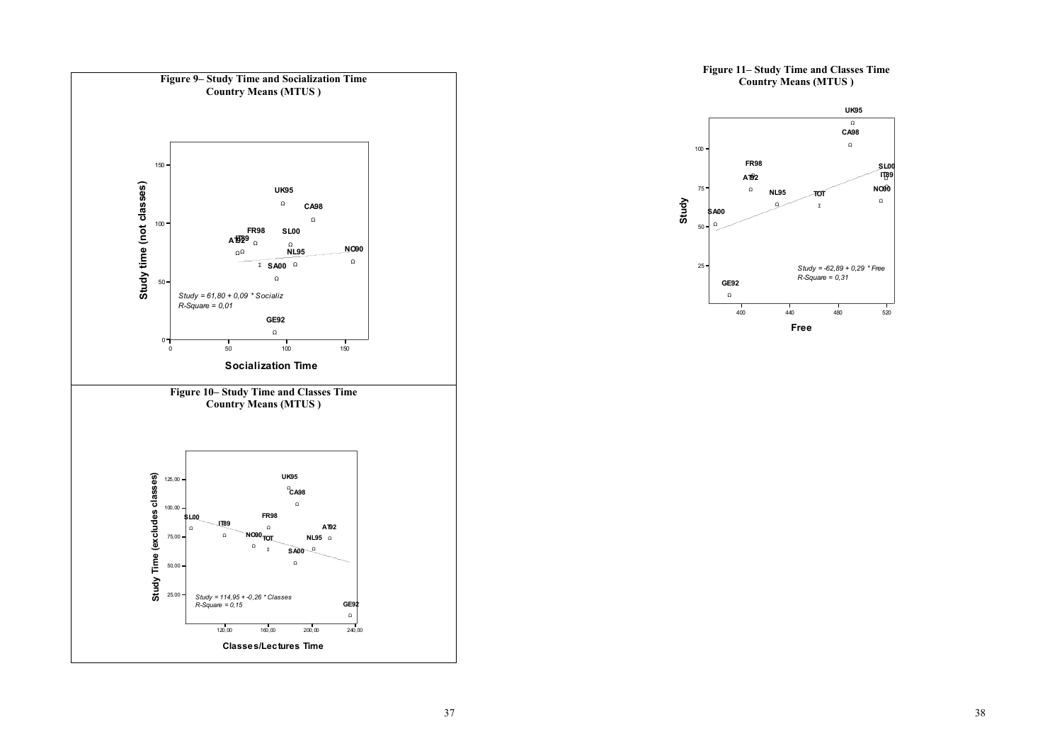

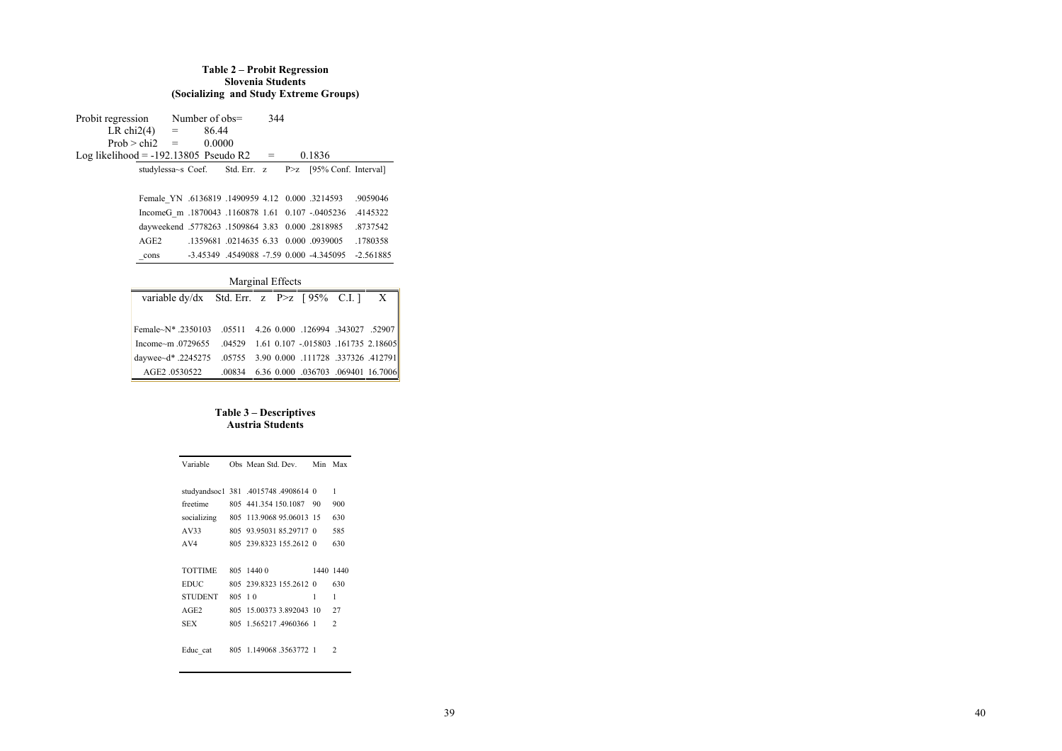### **Table 2 – Probit Regression Slovenia Students (Socializing and Study Extreme Groups)**

Probit regression Number of obs=  $344$ <br>LR chi2(4) =  $86.44$ LR chi2(4) =  $86.44$ <br>Prob > chi2 =  $0.0000$  $Prob > chi2 = 0$ Log likelihood =  $-192.13805$  Pseudo R2 = 0.1836 studylessa~s Coef. Std. Err. z P>z [95% Conf. Interval]

> Female\_YN .6136819 .1490959 4.12 0.000 .3214593 .9059046 IncomeG\_m .1870043 .1160878 1.61 0.107 -.0405236 .4145322 dayweekend .5778263 .1509864 3.83 0.000 .2818985 .8737542 AGE2 .1359681 .0214635 6.33 0.000 .0939005 .1780358 \_cons -3.45349 .4549088 -7.59 0.000 -4.345095 -2.561885

### Marginal Effects

| variable dy/dx Std. Err. z $P > z$ [95% C.I.] X              |  |  |  |
|--------------------------------------------------------------|--|--|--|
|                                                              |  |  |  |
| Female~N* .2350103 .05511 4.26 0.000 .126994 .343027 .52907  |  |  |  |
| Income~m.0729655 .04529 1.61 0.107 -.015803 .161735 2.18605  |  |  |  |
| daywee~d* .2245275 .05755 3.90 0.000 .111728 .337326 .412791 |  |  |  |
| AGE2.0530522 .00834 6.36 0.000 .036703 .069401 16.7006       |  |  |  |

### **Table 3 – Descriptives Austria Students**

| Variable       |        | Obs Mean Std Dev                     | Min | Max            |
|----------------|--------|--------------------------------------|-----|----------------|
|                |        |                                      |     |                |
|                |        | studyandsoc1 381 .4015748 .4908614 0 |     | 1              |
| freetime       |        | 805 441 354 150 1087                 | 90  | 900            |
| socializing    |        | 805 113 9068 95 06013 15             |     | 630            |
| AV33           | 805.   | 93 95031 85 29717 0                  |     | 585            |
| AV4            |        | 805 239 8323 155 2612 0              |     | 630            |
|                |        |                                      |     |                |
|                |        |                                      |     |                |
| <b>TOTTIME</b> |        | 805 1440 0                           |     | 1440 1440      |
| <b>EDUC</b>    |        | 805 239 8323 155 2612 0              |     | 630            |
| <b>STUDENT</b> | 805 10 |                                      | 1   | 1              |
| AGE2           | 805    | 15 00373 3 892043 10                 |     | 27             |
| <b>SEX</b>     | 805    | 1 565217 4960366 1                   |     | $\mathfrak{D}$ |
|                |        |                                      |     |                |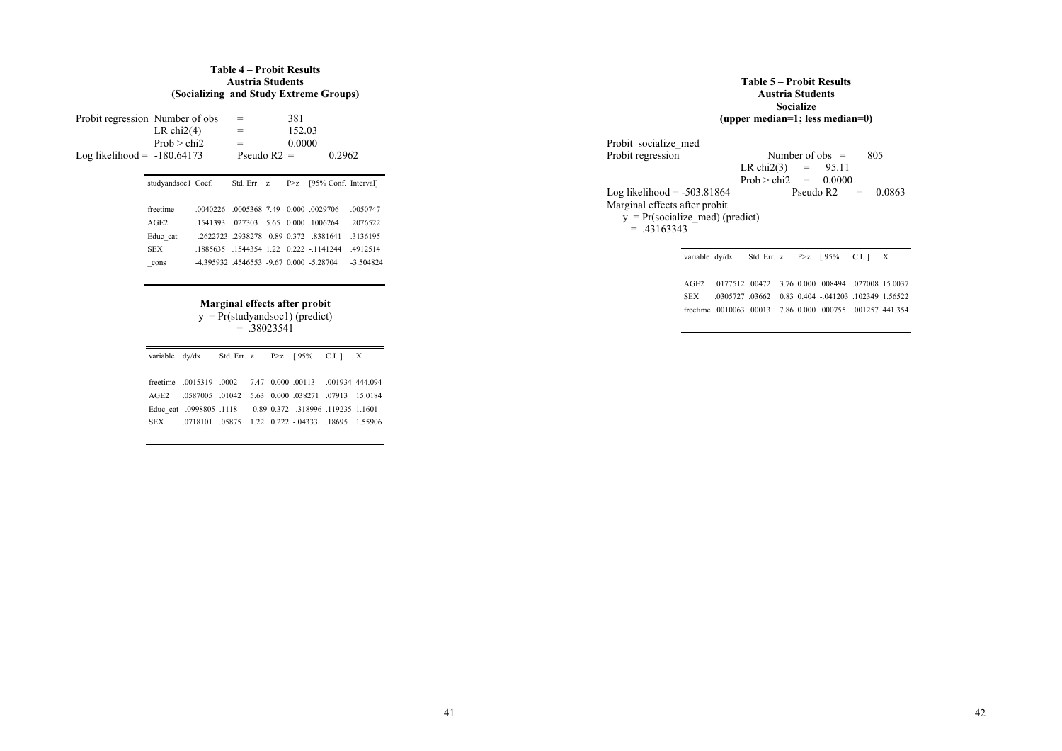#### **Table 4 – Probit Results Austria Students (Socializing and Study Extreme Groups)**

| $Log likelihood = -180.64173$ | Probit regression Number of obs<br>LR $chi2(4)$<br>Prob > chi2 |                                           | $=$<br>$=$<br>Pseudo $R2 =$ |  | 381<br>152.03<br>0.0000<br>0.2962 |                                                         |                      |
|-------------------------------|----------------------------------------------------------------|-------------------------------------------|-----------------------------|--|-----------------------------------|---------------------------------------------------------|----------------------|
|                               | studyandsoc1 Coef.                                             |                                           | Std. Err. z                 |  | P > Z                             | [95% Conf. Interval]                                    |                      |
|                               | freetime<br>AGE2                                               | 0040226<br>1541393                        |                             |  |                                   | 0005368 7.49 0.000 0029706<br>027303 5.65 0.000 1006264 | .0050747<br>.2076522 |
|                               | Educ cat                                                       | $-2622723$ .2938278 -0.89 0.372 -.8381641 |                             |  |                                   |                                                         | 3136195              |
|                               | <b>SEX</b>                                                     |                                           |                             |  |                                   | 1885635 1544354 1 22 0 222 - 1141244                    | .4912514             |
|                               | cons                                                           | -4 395932 4546553 -9 67 0 000 -5 28704    |                             |  |                                   |                                                         | $-3.504824$          |

**Marginal effects after probit**  y = Pr(studyandsoc1) (predict)

= .38023541

|       | variable $dy/dx$ Std. Err. z $P \geq z$ [95% C.I.] X         |  |  |  |
|-------|--------------------------------------------------------------|--|--|--|
|       |                                                              |  |  |  |
|       | freetime 0015319 0002 7.47 0.000 00113 001934 444 094        |  |  |  |
|       | AGE2 0587005 01042 5.63 0.000 038271 07913 15.0184           |  |  |  |
|       | Educ cat -.0998805 .1118 -0.89 0.372 -.318996 .119235 1.1601 |  |  |  |
| SEX - | 0718101 05875 1.22 0.222 - 04333 18695 1.55906               |  |  |  |
|       |                                                              |  |  |  |

|                                   | Table 5 – Probit Results<br><b>Austria Students</b><br>Socialize<br>(upper median=1; less median=0) |  |  |  |  |  |  |  |
|-----------------------------------|-----------------------------------------------------------------------------------------------------|--|--|--|--|--|--|--|
| Probit socialize med              |                                                                                                     |  |  |  |  |  |  |  |
| Probit regression                 | Number of obs $=$<br>805                                                                            |  |  |  |  |  |  |  |
|                                   | LR chi2(3) = $95.11$                                                                                |  |  |  |  |  |  |  |
|                                   | Prob $>$ chi2 = 0.0000                                                                              |  |  |  |  |  |  |  |
| Log likelihood $= -503.81864$     | Pseudo R <sub>2</sub><br>0.0863<br>$=$                                                              |  |  |  |  |  |  |  |
| Marginal effects after probit     |                                                                                                     |  |  |  |  |  |  |  |
| $y = Pr(socialize med) (predict)$ |                                                                                                     |  |  |  |  |  |  |  |
| $= 43163343$                      |                                                                                                     |  |  |  |  |  |  |  |
|                                   |                                                                                                     |  |  |  |  |  |  |  |
|                                   | variable dy/dx<br>Std. Err. $z$ P>z $\int$ 95%<br>C.I. 1<br>X                                       |  |  |  |  |  |  |  |

AGE2 .0177512 .00472 3.76 0.000 .008494 .027008 15.0037 SEX .0305727 .03662 0.83 0.404 -.041203 .102349 1.56522 freetime .0010063 .00013 7.86 0.000 .000755 .001257 441.354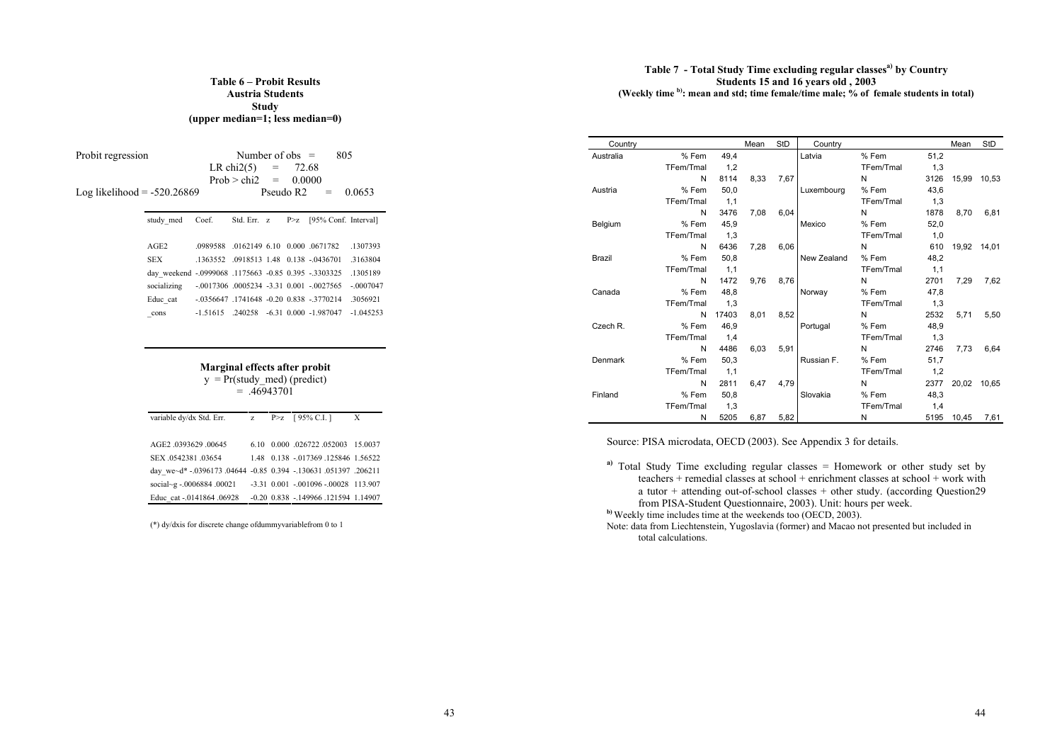### **Table 6 – Probit Results Austria Students Study (upper median=1; less median=0)**

| Probit regression<br>Log likelihood $= -520.26869$ | 805<br>Number of obs $=$<br>LR $chi2(5)$<br>72.68<br>$=$<br>$Prob > chi2 =$<br>0.0000<br>Pseudo R <sub>2</sub><br>0.0653 |                       |  |       |                      |                                                                                                                                                                                                                     |                                                                          |
|----------------------------------------------------|--------------------------------------------------------------------------------------------------------------------------|-----------------------|--|-------|----------------------|---------------------------------------------------------------------------------------------------------------------------------------------------------------------------------------------------------------------|--------------------------------------------------------------------------|
|                                                    | Coef.                                                                                                                    | Std. Err. z           |  | P > z | [95% Conf. Interval] |                                                                                                                                                                                                                     |                                                                          |
|                                                    | AGE2<br><b>SEX</b><br>day weekend -.0999068 .1175663 -0.85 0.395 -.3303325<br>socializing<br>Educ cat<br>cons            | 0989588<br>$-1.51615$ |  |       |                      | .0162149 6.10 0.000 .0671782<br>.1363552 .0918513 1.48 0.138 -0436701<br>$-.0017306$ $.0005234$ $-.3.31$ $0.001$ $-.0027565$<br>$-0.0356647$ $.1741648$ $-0.20$ $0.838$ $-3770214$<br>.240258 -6.31 0.000 -1.987047 | .1307393<br>.3163804<br>1305189<br>$-0007047$<br>.3056921<br>$-1.045253$ |

|                                                                                                                               | Marginal effects after probit<br>$y = Pr(study \text{ med})$ (predict)<br>$= 46943701$ |  |                                    |   |  |  |  |  |  |  |
|-------------------------------------------------------------------------------------------------------------------------------|----------------------------------------------------------------------------------------|--|------------------------------------|---|--|--|--|--|--|--|
| variable dy/dx Std. Err. z                                                                                                    |                                                                                        |  | $P > z$ [95% C.I.]                 | X |  |  |  |  |  |  |
| AGE2 .0393629 .00645                                                                                                          | 6.10                                                                                   |  | 0.000 026722 052003 15.0037        |   |  |  |  |  |  |  |
| SEX 0542381 03654                                                                                                             |                                                                                        |  | 1.48 0.138 - 017369 125846 1.56522 |   |  |  |  |  |  |  |
| $\mathbf{1}$ , $\mathbf{1}$ and any $\mathbf{1}$ and an $\mathbf{1}$ and $\mathbf{1}$ and an $\mathbf{1}$ and an $\mathbf{1}$ |                                                                                        |  |                                    |   |  |  |  |  |  |  |

| SEX 0542381 03654                                               |  | 1.48 0.138 - 017369 125846 1.56522         |  |
|-----------------------------------------------------------------|--|--------------------------------------------|--|
| day we~d* -.0396173 .04644 -0.85 0.394 -.130631 .051397 .206211 |  |                                            |  |
| social~g -.0006884 .00021                                       |  | $-3.31$ $0.001$ $-001096$ $-00028$ 113.907 |  |
| Educ cat -.0141864 .06928                                       |  | -0.20 0.838 -.149966 .121594 1.14907       |  |

(\*) dy/dxis for discrete change ofdummyvariablefrom 0 to 1

### **Table 7 - Total Study Time excluding regular classesa) by Country Students 15 and 16 years old , 2003 (Weekly time b): mean and std; time female/time male; % of female students in total)**

| Country       |           |       | Mean | <b>StD</b> | Country     |           |      | Mean        | StD   |
|---------------|-----------|-------|------|------------|-------------|-----------|------|-------------|-------|
| Australia     | % Fem     | 49,4  |      |            | Latvia      | % Fem     | 51,2 |             |       |
|               | TFem/Tmal | 1,2   |      |            |             | TFem/Tmal | 1,3  |             |       |
|               | N         | 8114  | 8,33 | 7,67       |             | N         | 3126 | 15,99       | 10.53 |
| Austria       | % Fem     | 50.0  |      |            | Luxembourg  | % Fem     | 43.6 |             |       |
|               | TFem/Tmal | 1,1   |      |            |             | TFem/Tmal | 1,3  |             |       |
|               | N         | 3476  | 7.08 | 6,04       |             | N         | 1878 | 8.70        | 6,81  |
| Belgium       | % Fem     | 45,9  |      |            | Mexico      | % Fem     | 52,0 |             |       |
|               | TFem/Tmal | 1,3   |      |            |             | TFem/Tmal | 1,0  |             |       |
|               | N         | 6436  | 7.28 | 6.06       |             | N         | 610  | 19,92 14,01 |       |
| <b>Brazil</b> | % Fem     | 50.8  |      |            | New Zealand | % Fem     | 48.2 |             |       |
|               | TFem/Tmal | 1,1   |      |            |             | TFem/Tmal | 1,1  |             |       |
|               | N         | 1472  | 9.76 | 8.76       |             | N         | 2701 | 7.29        | 7,62  |
| Canada        | % Fem     | 48.8  |      |            | Norway      | % Fem     | 47.8 |             |       |
|               | TFem/Tmal | 1,3   |      |            |             | TFem/Tmal | 1,3  |             |       |
|               | N         | 17403 | 8.01 | 8,52       |             | N         | 2532 | 5,71        | 5,50  |
| Czech R.      | % Fem     | 46.9  |      |            | Portugal    | % Fem     | 48.9 |             |       |
|               | TFem/Tmal | 1,4   |      |            |             | TFem/Tmal | 1,3  |             |       |
|               | N         | 4486  | 6.03 | 5.91       |             | N         | 2746 | 7.73        | 6.64  |
| Denmark       | % Fem     | 50.3  |      |            | Russian F.  | % Fem     | 51,7 |             |       |
|               | TFem/Tmal | 1,1   |      |            |             | TFem/Tmal | 1,2  |             |       |
|               | N         | 2811  | 6.47 | 4.79       |             | N         | 2377 | 20,02       | 10.65 |
| Finland       | % Fem     | 50.8  |      |            | Slovakia    | % Fem     | 48.3 |             |       |
|               | TFem/Tmal | 1,3   |      |            |             | TFem/Tmal | 1,4  |             |       |
|               | N         | 5205  | 6,87 | 5,82       |             | N         | 5195 | 10,45       | 7,61  |

Source: PISA microdata, OECD (2003). See Appendix 3 for details.

**a)** Total Study Time excluding regular classes = Homework or other study set by teachers + remedial classes at school + enrichment classes at school + work with a tutor + attending out-of-school classes + other study. (according Question29 from PISA-Student Questionnaire, 2003). Unit: hours per week.

**b)** Weekly time includes time at the weekends too (OECD, 2003).

Note: data from Liechtenstein, Yugoslavia (former) and Macao not presented but included in total calculations.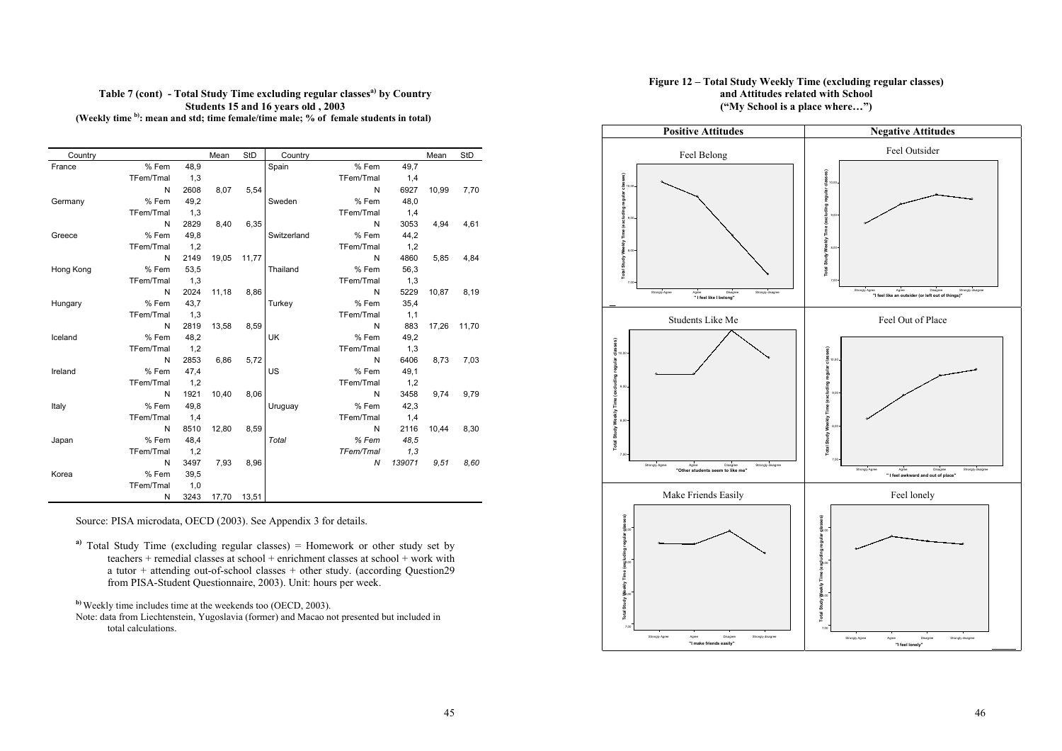### Table 7 (cont) - Total Study Time excluding regular classes<sup>a)</sup> by Country **Students 15 and 16 years old , 2003 (Weekly time b): mean and std; time female/time male; % of female students in total)**

| Country   |           |      | Mean  | StD   | Country     |           |        | Mean  | StD   |
|-----------|-----------|------|-------|-------|-------------|-----------|--------|-------|-------|
| France    | % Fem     | 48,9 |       |       | Spain       | % Fem     | 49,7   |       |       |
|           | TFem/Tmal | 1,3  |       |       |             | TFem/Tmal | 1,4    |       |       |
|           | N         | 2608 | 8.07  | 5,54  |             | N         | 6927   | 10.99 | 7,70  |
| Germany   | % Fem     | 49.2 |       |       | Sweden      | % Fem     | 48.0   |       |       |
|           | TFem/Tmal | 1,3  |       |       |             | TFem/Tmal | 1,4    |       |       |
|           | N         | 2829 | 8.40  | 6,35  |             | N         | 3053   | 4.94  | 4,61  |
| Greece    | % Fem     | 49,8 |       |       | Switzerland | % Fem     | 44,2   |       |       |
|           | TFem/Tmal | 1,2  |       |       |             | TFem/Tmal | 1,2    |       |       |
|           | N         | 2149 | 19.05 | 11,77 |             | N         | 4860   | 5.85  | 4,84  |
| Hong Kong | % Fem     | 53,5 |       |       | Thailand    | % Fem     | 56,3   |       |       |
|           | TFem/Tmal | 1,3  |       |       |             | TFem/Tmal | 1,3    |       |       |
|           | N         | 2024 | 11,18 | 8,86  |             | N         | 5229   | 10.87 | 8,19  |
| Hungary   | % Fem     | 43.7 |       |       | Turkey      | % Fem     | 35.4   |       |       |
|           | TFem/Tmal | 1,3  |       |       |             | TFem/Tmal | 1,1    |       |       |
|           | N         | 2819 | 13.58 | 8,59  |             | N         | 883    | 17.26 | 11.70 |
| Iceland   | % Fem     | 48,2 |       |       | UK          | % Fem     | 49,2   |       |       |
|           | TFem/Tmal | 1,2  |       |       |             | TFem/Tmal | 1,3    |       |       |
|           | N         | 2853 | 6.86  | 5,72  |             | N         | 6406   | 8.73  | 7,03  |
| Ireland   | % Fem     | 47,4 |       |       | US          | % Fem     | 49,1   |       |       |
|           | TFem/Tmal | 1,2  |       |       |             | TFem/Tmal | 1,2    |       |       |
|           | N         | 1921 | 10.40 | 8,06  |             | N         | 3458   | 9.74  | 9,79  |
| Italy     | % Fem     | 49,8 |       |       | Uruguay     | % Fem     | 42,3   |       |       |
|           | TFem/Tmal | 1,4  |       |       |             | TFem/Tmal | 1,4    |       |       |
|           | N         | 8510 | 12.80 | 8,59  |             | N         | 2116   | 10.44 | 8,30  |
| Japan     | % Fem     | 48,4 |       |       | Total       | % Fem     | 48.5   |       |       |
|           | TFem/Tmal | 1,2  |       |       |             | TFem/Tmal | 1,3    |       |       |
|           | N         | 3497 | 7.93  | 8,96  |             | N         | 139071 | 9.51  | 8.60  |
| Korea     | % Fem     | 39,5 |       |       |             |           |        |       |       |
|           | TFem/Tmal | 1,0  |       |       |             |           |        |       |       |
|           | N         | 3243 | 17,70 | 13,51 |             |           |        |       |       |

Source: PISA microdata, OECD (2003). See Appendix 3 for details.

**a)** Total Study Time (excluding regular classes) = Homework or other study set by teachers + remedial classes at school + enrichment classes at school + work with a tutor + attending out-of-school classes + other study. (according Question29 from PISA-Student Questionnaire, 2003). Unit: hours per week.

**b)** Weekly time includes time at the weekends too (OECD, 2003).

Note: data from Liechtenstein, Yugoslavia (former) and Macao not presented but included in total calculations.

### **Figure 12 – Total Study Weekly Time (excluding regular classes) and Attitudes related with School ("My School is a place where…")**

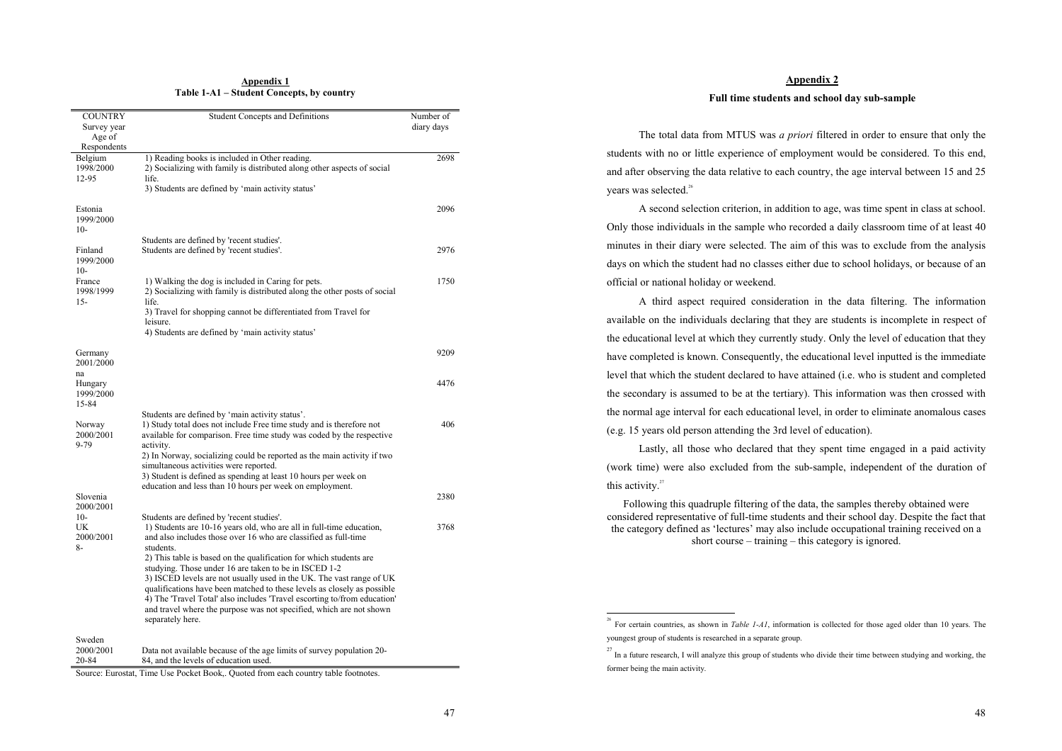#### **Appendix 1 Table 1-A1 – Student Concepts, by country**

| <b>COUNTRY</b>                        | Student Concepts and Definitions                                                                                                                                                                                                                                                                                                 | Number of  |
|---------------------------------------|----------------------------------------------------------------------------------------------------------------------------------------------------------------------------------------------------------------------------------------------------------------------------------------------------------------------------------|------------|
| Survey year                           |                                                                                                                                                                                                                                                                                                                                  | diary days |
| Age of<br>Respondents                 |                                                                                                                                                                                                                                                                                                                                  |            |
| Belgium<br>1998/2000<br>12-95         | 1) Reading books is included in Other reading.<br>2) Socializing with family is distributed along other aspects of social<br>life.<br>3) Students are defined by 'main activity status'                                                                                                                                          | 2698       |
| Estonia<br>1999/2000<br>$10-$         |                                                                                                                                                                                                                                                                                                                                  | 2096       |
| Finland<br>1999/2000                  | Students are defined by 'recent studies'.<br>Students are defined by 'recent studies'.                                                                                                                                                                                                                                           | 2976       |
| $10-$<br>France<br>1998/1999<br>$15-$ | 1) Walking the dog is included in Caring for pets.<br>2) Socializing with family is distributed along the other posts of social<br>life.                                                                                                                                                                                         | 1750       |
|                                       | 3) Travel for shopping cannot be differentiated from Travel for<br>leisure.<br>4) Students are defined by 'main activity status'                                                                                                                                                                                                 |            |
| Germany<br>2001/2000                  |                                                                                                                                                                                                                                                                                                                                  | 9209       |
| na<br>Hungary<br>1999/2000<br>15-84   |                                                                                                                                                                                                                                                                                                                                  | 4476       |
| Norway<br>2000/2001<br>$9 - 79$       | Students are defined by 'main activity status'.<br>1) Study total does not include Free time study and is therefore not<br>available for comparison. Free time study was coded by the respective<br>activity.                                                                                                                    | 406        |
|                                       | 2) In Norway, socializing could be reported as the main activity if two<br>simultaneous activities were reported.<br>3) Student is defined as spending at least 10 hours per week on                                                                                                                                             |            |
| Slovenia<br>2000/2001                 | education and less than 10 hours per week on employment.                                                                                                                                                                                                                                                                         | 2380       |
| $10-$<br>UK<br>2000/2001<br>8-        | Students are defined by 'recent studies'.<br>1) Students are 10-16 years old, who are all in full-time education,<br>and also includes those over 16 who are classified as full-time<br>students.<br>2) This table is based on the qualification for which students are<br>studying. Those under 16 are taken to be in ISCED 1-2 | 3768       |
|                                       | 3) ISCED levels are not usually used in the UK. The vast range of UK<br>qualifications have been matched to these levels as closely as possible<br>4) The 'Travel Total' also includes 'Travel escorting to/from education'<br>and travel where the purpose was not specified, which are not shown<br>separately here.           |            |
| Sweden<br>2000/2001<br>20-84          | Data not available because of the age limits of survey population 20-<br>84, and the levels of education used.                                                                                                                                                                                                                   |            |

Source: Eurostat, Time Use Pocket Book,. Quoted from each country table footnotes.

### **Appendix 2**

#### **Full time students and school day sub-sample**

The total data from MTUS was *a priori* filtered in order to ensure that only the students with no or little experience of employment would be considered. To this end, and after observing the data relative to each country, the age interval between 15 and 25 years was selected.<sup>26</sup>

 A second selection criterion, in addition to age, was time spent in class at school. Only those individuals in the sample who recorded a daily classroom time of at least 40 minutes in their diary were selected. The aim of this was to exclude from the analysis days on which the student had no classes either due to school holidays, or because of an official or national holiday or weekend.

 A third aspect required consideration in the data filtering. The information available on the individuals declaring that they are students is incomplete in respect of the educational level at which they currently study. Only the level of education that they have completed is known. Consequently, the educational level inputted is the immediate level that which the student declared to have attained (i.e. who is student and completed the secondary is assumed to be at the tertiary). This information was then crossed with the normal age interval for each educational level, in order to eliminate anomalous cases (e.g. 15 years old person attending the 3rd level of education).

Lastly, all those who declared that they spent time engaged in a paid activity (work time) were also excluded from the sub-sample, independent of the duration of this activity.<sup>27</sup>

Following this quadruple filtering of the data, the samples thereby obtained were considered representative of full-time students and their school day. Despite the fact that the category defined as 'lectures' may also include occupational training received on a short course – training – this category is ignored.

<sup>&</sup>lt;sup>26</sup> For certain countries, as shown in *Table 1-A1*, information is collected for those aged older than 10 years. The youngest group of students is researched in a separate group.

<sup>&</sup>lt;sup>27</sup> In a future research, I will analyze this group of students who divide their time between studying and working, the former being the main activity.